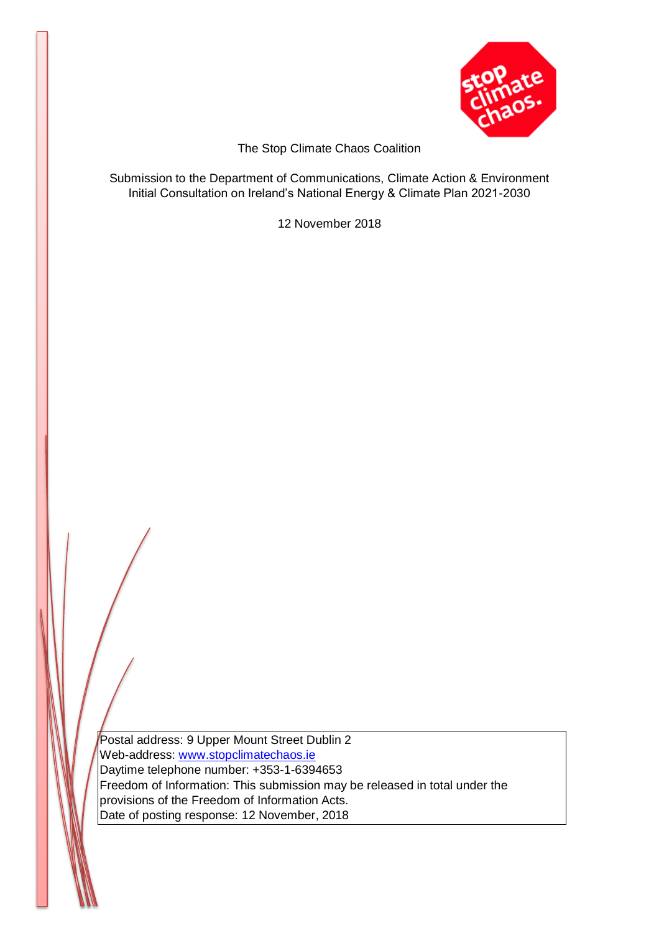

The Stop Climate Chaos Coalition

Submission to the Department of Communications, Climate Action & Environment Initial Consultation on Ireland's National Energy & Climate Plan 2021-2030

12 November 2018

Postal address: 9 Upper Mount Street Dublin 2 Web-address: [www.stopclimatechaos.ie](http://www.stopclimatechaos.ie/) Daytime telephone number: +353-1-6394653 Freedom of Information: This submission may be released in total under the provisions of the Freedom of Information Acts. Date of posting response: 12 November, 2018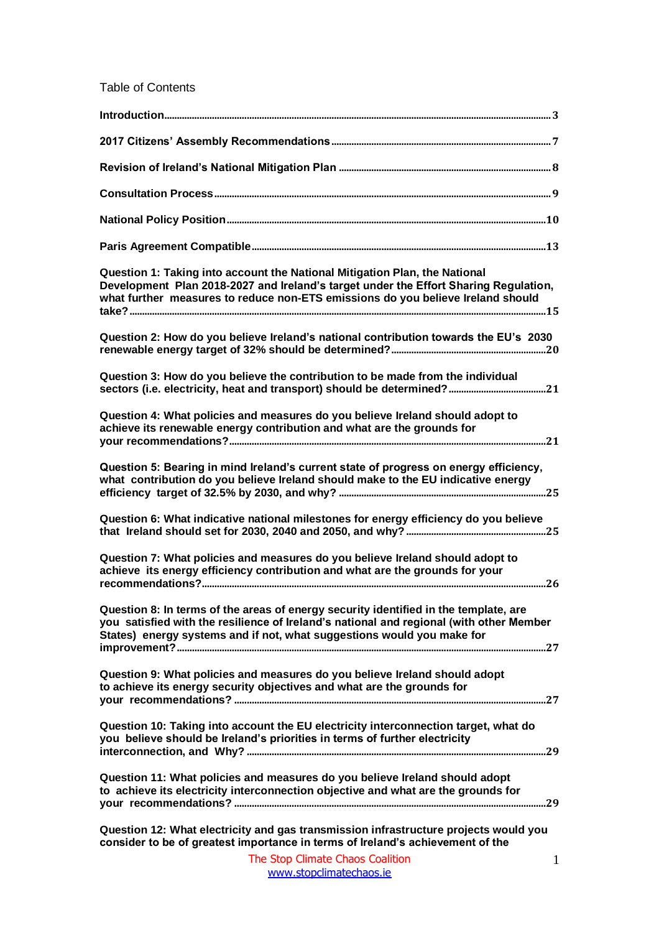Table of Contents

| Question 1: Taking into account the National Mitigation Plan, the National<br>Development Plan 2018-2027 and Ireland's target under the Effort Sharing Regulation,<br>what further measures to reduce non-ETS emissions do you believe Ireland should     |
|-----------------------------------------------------------------------------------------------------------------------------------------------------------------------------------------------------------------------------------------------------------|
| Question 2: How do you believe Ireland's national contribution towards the EU's 2030                                                                                                                                                                      |
| Question 3: How do you believe the contribution to be made from the individual                                                                                                                                                                            |
| Question 4: What policies and measures do you believe Ireland should adopt to<br>achieve its renewable energy contribution and what are the grounds for                                                                                                   |
| Question 5: Bearing in mind Ireland's current state of progress on energy efficiency,<br>what contribution do you believe Ireland should make to the EU indicative energy                                                                                 |
| Question 6: What indicative national milestones for energy efficiency do you believe                                                                                                                                                                      |
| Question 7: What policies and measures do you believe Ireland should adopt to<br>achieve its energy efficiency contribution and what are the grounds for your                                                                                             |
| Question 8: In terms of the areas of energy security identified in the template, are<br>you satisfied with the resilience of Ireland's national and regional (with other Member<br>States) energy systems and if not, what suggestions would you make for |
| Question 9: What policies and measures do you believe Ireland should adopt<br>to achieve its energy security objectives and what are the grounds for                                                                                                      |
| Question 10: Taking into account the EU electricity interconnection target, what do<br>you believe should be Ireland's priorities in terms of further electricity                                                                                         |
| Question 11: What policies and measures do you believe Ireland should adopt<br>to achieve its electricity interconnection objective and what are the grounds for                                                                                          |
| Question 12: What electricity and gas transmission infrastructure projects would you<br>consider to be of greatest importance in terms of Ireland's achievement of the                                                                                    |
| The Stop Climate Chaos Coalition<br>$\mathbf{1}$                                                                                                                                                                                                          |

[www.stopclimatechaos.ie](file:///C:/Users/FoE%20Activism/Dropbox%20(FoE%20Ireland)/Friends%20of%20the%20Earth/Stop%20Climate%20Chaos/Letters/www.stopclimatechaos.ie)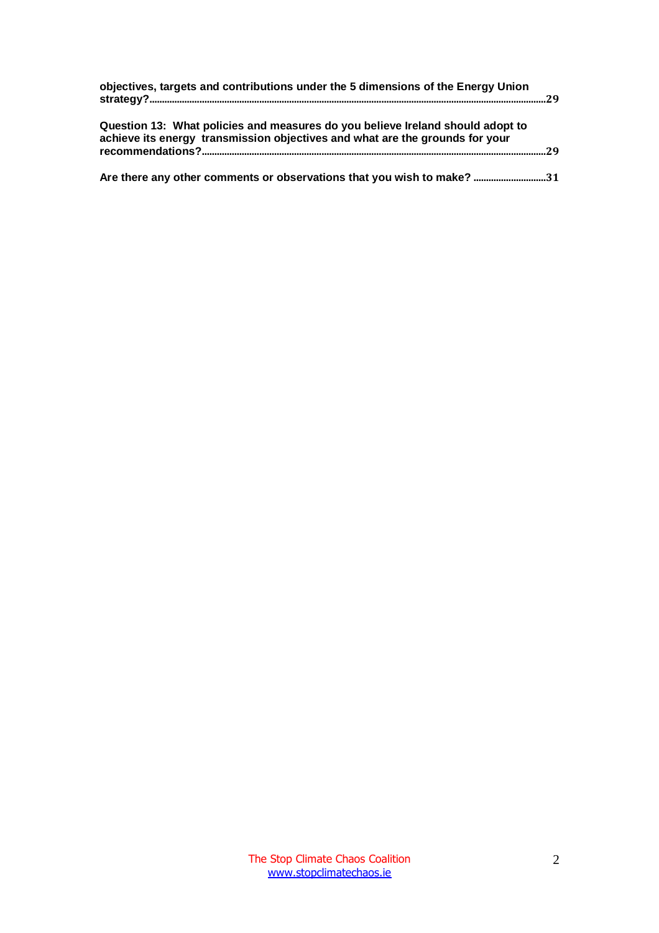| objectives, targets and contributions under the 5 dimensions of the Energy Union<br>Question 13: What policies and measures do you believe Ireland should adopt to<br>achieve its energy transmission objectives and what are the grounds for your |  |
|----------------------------------------------------------------------------------------------------------------------------------------------------------------------------------------------------------------------------------------------------|--|
|                                                                                                                                                                                                                                                    |  |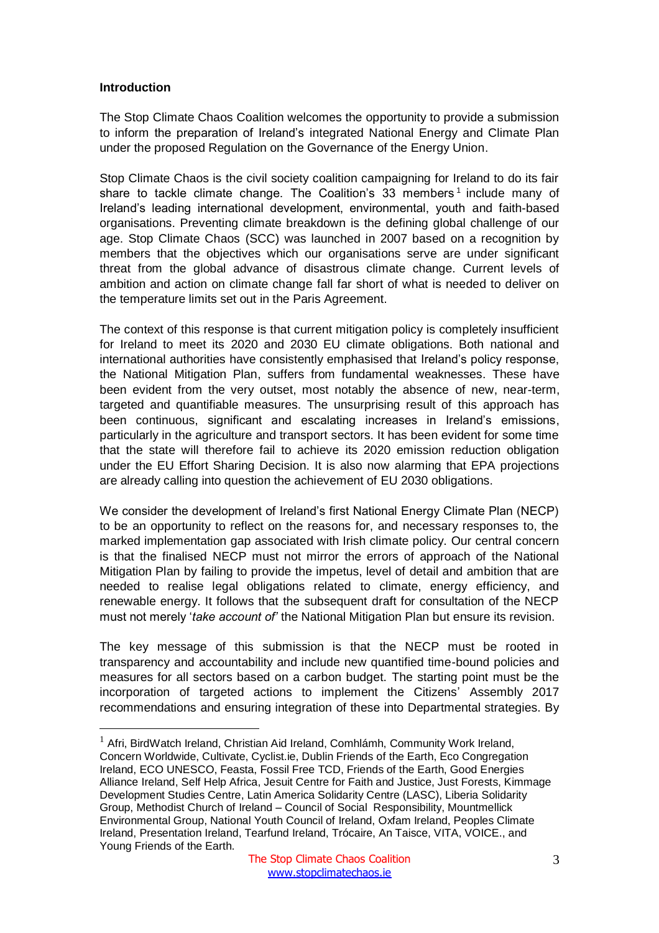## <span id="page-3-0"></span>**Introduction**

 $\overline{a}$ 

The Stop Climate Chaos Coalition welcomes the opportunity to provide a submission to inform the preparation of Ireland's integrated National Energy and Climate Plan under the proposed Regulation on the Governance of the Energy Union.

Stop Climate Chaos is the civil society coalition campaigning for Ireland to do its fair share to tackle climate change. The Coalition's 33 members<sup>1</sup> include many of Ireland's leading international development, environmental, youth and faith-based organisations. Preventing climate breakdown is the defining global challenge of our age. Stop Climate Chaos (SCC) was launched in 2007 based on a recognition by members that the objectives which our organisations serve are under significant threat from the global advance of disastrous climate change. Current levels of ambition and action on climate change fall far short of what is needed to deliver on the temperature limits set out in the Paris Agreement.

The context of this response is that current mitigation policy is completely insufficient for Ireland to meet its 2020 and 2030 EU climate obligations. Both national and international authorities have consistently emphasised that Ireland's policy response, the National Mitigation Plan, suffers from fundamental weaknesses. These have been evident from the very outset, most notably the absence of new, near-term, targeted and quantifiable measures. The unsurprising result of this approach has been continuous, significant and escalating increases in Ireland's emissions, particularly in the agriculture and transport sectors. It has been evident for some time that the state will therefore fail to achieve its 2020 emission reduction obligation under the EU Effort Sharing Decision. It is also now alarming that EPA projections are already calling into question the achievement of EU 2030 obligations.

We consider the development of Ireland's first National Energy Climate Plan (NECP) to be an opportunity to reflect on the reasons for, and necessary responses to, the marked implementation gap associated with Irish climate policy. Our central concern is that the finalised NECP must not mirror the errors of approach of the National Mitigation Plan by failing to provide the impetus, level of detail and ambition that are needed to realise legal obligations related to climate, energy efficiency, and renewable energy. It follows that the subsequent draft for consultation of the NECP must not merely '*take account of'* the National Mitigation Plan but ensure its revision.

The key message of this submission is that the NECP must be rooted in transparency and accountability and include new quantified time-bound policies and measures for all sectors based on a carbon budget. The starting point must be the incorporation of targeted actions to implement the Citizens' Assembly 2017 recommendations and ensuring integration of these into Departmental strategies. By

 $1$  Afri, BirdWatch Ireland, Christian Aid Ireland, Comhlámh, Community Work Ireland, Concern Worldwide, Cultivate, Cyclist.ie, Dublin Friends of the Earth, Eco Congregation Ireland, ECO UNESCO, Feasta, Fossil Free TCD, Friends of the Earth, Good Energies Alliance Ireland, Self Help Africa, Jesuit Centre for Faith and Justice, Just Forests, Kimmage Development Studies Centre, Latin America Solidarity Centre (LASC), Liberia Solidarity Group, Methodist Church of Ireland – Council of Social Responsibility, Mountmellick Environmental Group, National Youth Council of Ireland, Oxfam Ireland, Peoples Climate Ireland, Presentation Ireland, Tearfund Ireland, Trócaire, An Taisce, VITA, VOICE., and Young Friends of the Earth.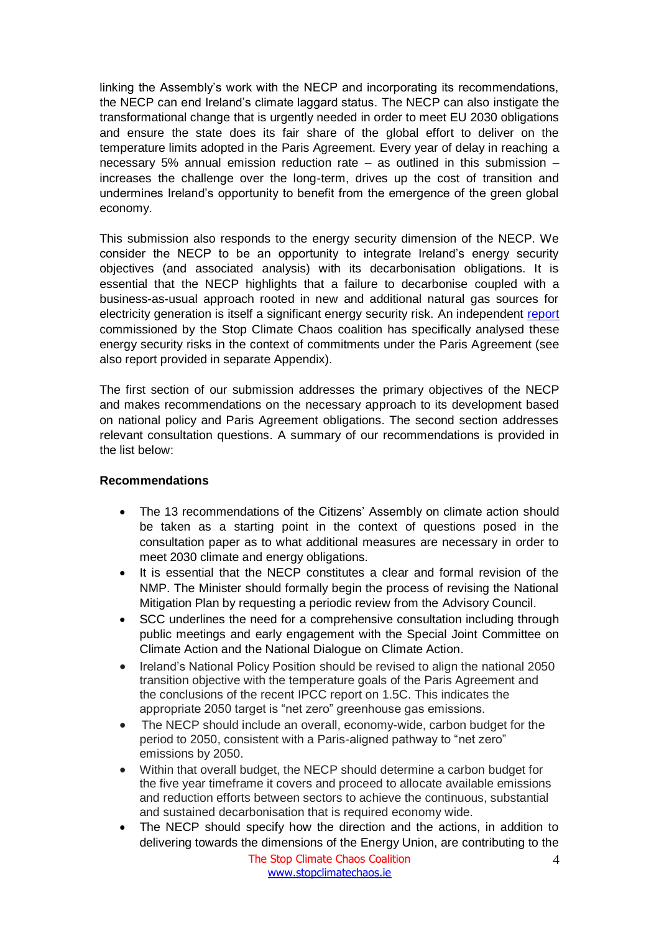linking the Assembly's work with the NECP and incorporating its recommendations, the NECP can end Ireland's climate laggard status. The NECP can also instigate the transformational change that is urgently needed in order to meet EU 2030 obligations and ensure the state does its fair share of the global effort to deliver on the temperature limits adopted in the Paris Agreement. Every year of delay in reaching a necessary 5% annual emission reduction rate – as outlined in this submission – increases the challenge over the long-term, drives up the cost of transition and undermines Ireland's opportunity to benefit from the emergence of the green global economy.

This submission also responds to the energy security dimension of the NECP. We consider the NECP to be an opportunity to integrate Ireland's energy security objectives (and associated analysis) with its decarbonisation obligations. It is essential that the NECP highlights that a failure to decarbonise coupled with a business-as-usual approach rooted in new and additional natural gas sources for electricity generation is itself a significant energy security risk. An independent [report](https://www.stopclimatechaos.ie/download/pdf/is_natural_gas_essential_for_irelands_future_energy_security_scc_study_november_2018.pdf) commissioned by the Stop Climate Chaos coalition has specifically analysed these energy security risks in the context of commitments under the Paris Agreement (see also report provided in separate Appendix).

The first section of our submission addresses the primary objectives of the NECP and makes recommendations on the necessary approach to its development based on national policy and Paris Agreement obligations. The second section addresses relevant consultation questions. A summary of our recommendations is provided in the list below:

## **Recommendations**

- The 13 recommendations of the Citizens' Assembly on climate action should be taken as a starting point in the context of questions posed in the consultation paper as to what additional measures are necessary in order to meet 2030 climate and energy obligations.
- It is essential that the NECP constitutes a clear and formal revision of the NMP. The Minister should formally begin the process of revising the National Mitigation Plan by requesting a periodic review from the Advisory Council.
- SCC underlines the need for a comprehensive consultation including through public meetings and early engagement with the Special Joint Committee on Climate Action and the National Dialogue on Climate Action.
- Ireland's National Policy Position should be revised to align the national 2050 transition objective with the temperature goals of the Paris Agreement and the conclusions of the recent IPCC report on 1.5C. This indicates the appropriate 2050 target is "net zero" greenhouse gas emissions.
- The NECP should include an overall, economy-wide, carbon budget for the period to 2050, consistent with a Paris-aligned pathway to "net zero" emissions by 2050.
- Within that overall budget, the NECP should determine a carbon budget for the five year timeframe it covers and proceed to allocate available emissions and reduction efforts between sectors to achieve the continuous, substantial and sustained decarbonisation that is required economy wide.
- The NECP should specify how the direction and the actions, in addition to delivering towards the dimensions of the Energy Union, are contributing to the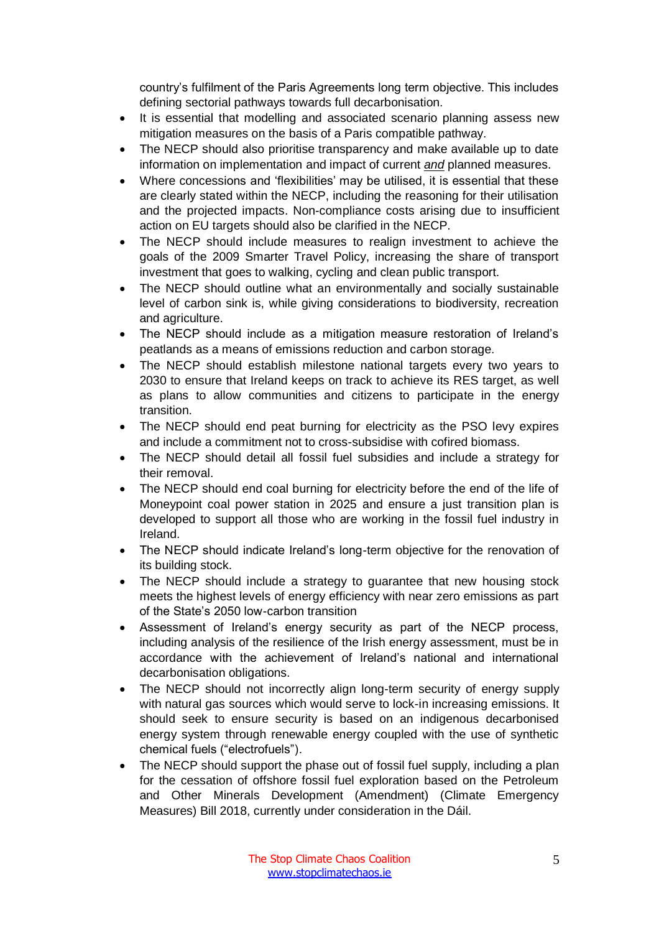country's fulfilment of the Paris Agreements long term objective. This includes defining sectorial pathways towards full decarbonisation.

- It is essential that modelling and associated scenario planning assess new mitigation measures on the basis of a Paris compatible pathway.
- The NECP should also prioritise transparency and make available up to date information on implementation and impact of current *and* planned measures.
- Where concessions and 'flexibilities' may be utilised, it is essential that these are clearly stated within the NECP, including the reasoning for their utilisation and the projected impacts. Non-compliance costs arising due to insufficient action on EU targets should also be clarified in the NECP.
- The NECP should include measures to realign investment to achieve the goals of the 2009 Smarter Travel Policy, increasing the share of transport investment that goes to walking, cycling and clean public transport.
- The NECP should outline what an environmentally and socially sustainable level of carbon sink is, while giving considerations to biodiversity, recreation and agriculture.
- The NECP should include as a mitigation measure restoration of Ireland's peatlands as a means of emissions reduction and carbon storage.
- The NECP should establish milestone national targets every two years to 2030 to ensure that Ireland keeps on track to achieve its RES target, as well as plans to allow communities and citizens to participate in the energy transition.
- The NECP should end peat burning for electricity as the PSO levy expires and include a commitment not to cross-subsidise with cofired biomass.
- The NECP should detail all fossil fuel subsidies and include a strategy for their removal.
- The NECP should end coal burning for electricity before the end of the life of Moneypoint coal power station in 2025 and ensure a just transition plan is developed to support all those who are working in the fossil fuel industry in Ireland.
- The NECP should indicate Ireland's long-term objective for the renovation of its building stock.
- The NECP should include a strategy to quarantee that new housing stock meets the highest levels of energy efficiency with near zero emissions as part of the State's 2050 low-carbon transition
- Assessment of Ireland's energy security as part of the NECP process, including analysis of the resilience of the Irish energy assessment, must be in accordance with the achievement of Ireland's national and international decarbonisation obligations.
- The NECP should not incorrectly align long-term security of energy supply with natural gas sources which would serve to lock-in increasing emissions. It should seek to ensure security is based on an indigenous decarbonised energy system through renewable energy coupled with the use of synthetic chemical fuels ("electrofuels").
- The NECP should support the phase out of fossil fuel supply, including a plan for the cessation of offshore fossil fuel exploration based on the Petroleum and Other Minerals Development (Amendment) (Climate Emergency Measures) Bill 2018, currently under consideration in the Dáil.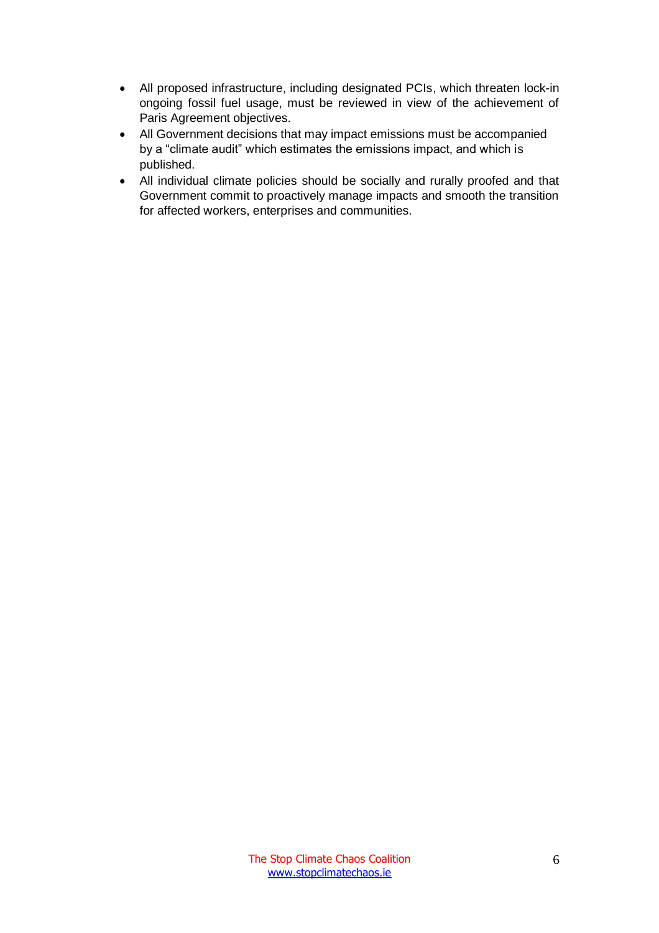- All proposed infrastructure, including designated PCIs, which threaten lock-in ongoing fossil fuel usage, must be reviewed in view of the achievement of Paris Agreement objectives.
- All Government decisions that may impact emissions must be accompanied by a "climate audit" which estimates the emissions impact, and which is published.
- All individual climate policies should be socially and rurally proofed and that Government commit to proactively manage impacts and smooth the transition for affected workers, enterprises and communities.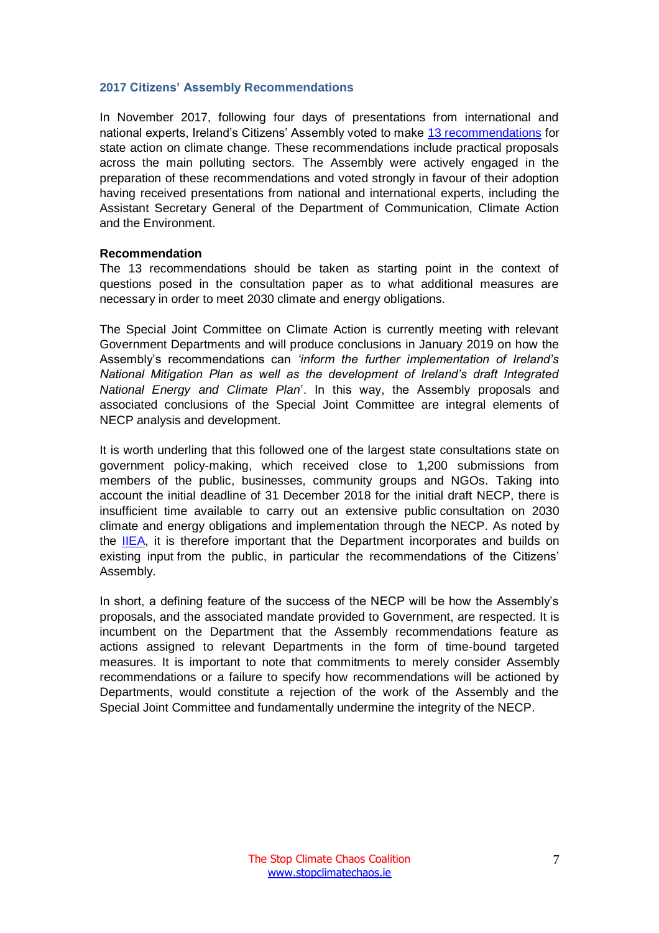#### <span id="page-7-0"></span>**2017 Citizens' Assembly Recommendations**

In November 2017, following four days of presentations from international and national experts, Ireland's Citizens' Assembly voted to make [13 recommendations](https://www.citizensassembly.ie/en/How-the-State-can-make-Ireland-a-leader-in-tackling-climate-change/Recommendations/) for state action on climate change. These recommendations include practical proposals across the main polluting sectors. The Assembly were actively engaged in the preparation of these recommendations and voted strongly in favour of their adoption having received presentations from national and international experts, including the Assistant Secretary General of the Department of Communication, Climate Action and the Environment.

#### **Recommendation**

The 13 recommendations should be taken as starting point in the context of questions posed in the consultation paper as to what additional measures are necessary in order to meet 2030 climate and energy obligations.

The Special Joint Committee on Climate Action is currently meeting with relevant Government Departments and will produce conclusions in January 2019 on how the Assembly's recommendations can *'inform the further implementation of Ireland's National Mitigation Plan as well as the development of Ireland's draft Integrated National Energy and Climate Plan*'. In this way, the Assembly proposals and associated conclusions of the Special Joint Committee are integral elements of NECP analysis and development.

It is worth underling that this followed one of the largest state consultations state on government policy-making, which received close to 1,200 submissions from members of the public, businesses, community groups and NGOs. Taking into account the initial deadline of 31 December 2018 for the initial draft NECP, there is insufficient time available to carry out an extensive public consultation on 2030 climate and energy obligations and implementation through the NECP. As noted by the [IIEA,](https://www.iiea.com/publication/irelands-energy-and-climate-plan-consolidation-cohesion-consultation/) it is therefore important that the Department incorporates and builds on existing input from the public, in particular the recommendations of the Citizens' Assembly.

In short, a defining feature of the success of the NECP will be how the Assembly's proposals, and the associated mandate provided to Government, are respected. It is incumbent on the Department that the Assembly recommendations feature as actions assigned to relevant Departments in the form of time-bound targeted measures. It is important to note that commitments to merely consider Assembly recommendations or a failure to specify how recommendations will be actioned by Departments, would constitute a rejection of the work of the Assembly and the Special Joint Committee and fundamentally undermine the integrity of the NECP.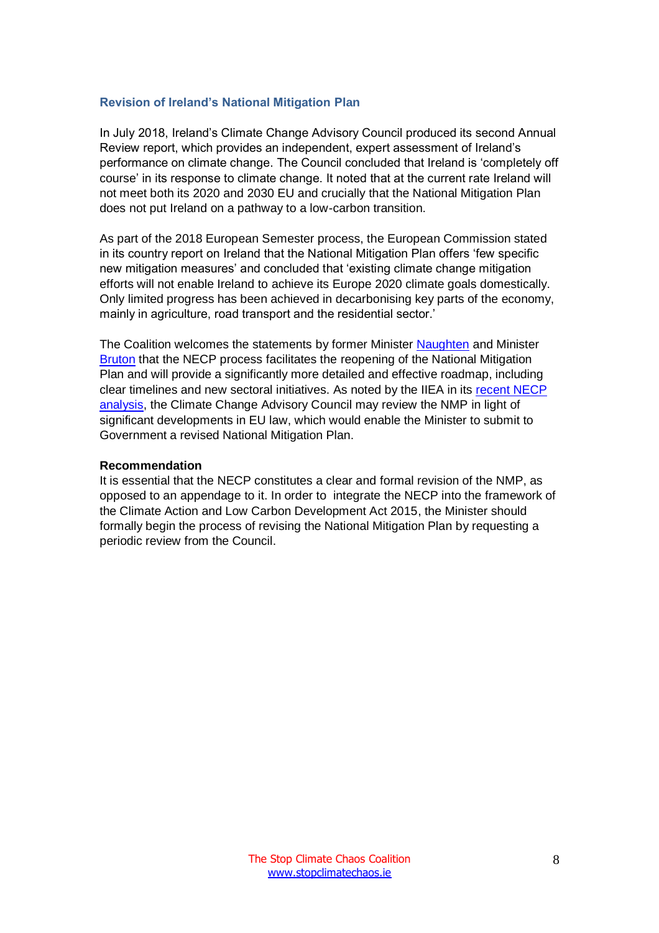#### <span id="page-8-0"></span>**Revision of Ireland's National Mitigation Plan**

In July 2018, Ireland's Climate Change Advisory Council produced its second Annual Review report, which provides an independent, expert assessment of Ireland's performance on climate change. The Council concluded that Ireland is 'completely off course' in its response to climate change. It noted that at the current rate Ireland will not meet both its 2020 and 2030 EU and crucially that the National Mitigation Plan does not put Ireland on a pathway to a low-carbon transition.

As part of the 2018 European Semester process, the European Commission stated in its country report on Ireland that the National Mitigation Plan offers 'few specific new mitigation measures' and concluded that 'existing climate change mitigation efforts will not enable Ireland to achieve its Europe 2020 climate goals domestically. Only limited progress has been achieved in decarbonising key parts of the economy, mainly in agriculture, road transport and the residential sector.'

The Coalition welcomes the statements by former Minister [Naughten](https://www.irishtimes.com/news/environment/naughten-admits-plan-to-cut-carbon-emissions-is-not-working-1.3611689) and Minister [Bruton](https://www.irishtimes.com/business/economy/escalating-carbon-tax-increases-on-the-way-says-richard-bruton-1.3689891#.W-NTx-tMetQ.twitter) that the NECP process facilitates the reopening of the National Mitigation Plan and will provide a significantly more detailed and effective roadmap, including clear timelines and new sectoral initiatives. As noted by the IIEA in its [recent NECP](https://www.iiea.com/publication/irelands-energy-and-climate-plan-consolidation-cohesion-consultation/)  [analysis,](https://www.iiea.com/publication/irelands-energy-and-climate-plan-consolidation-cohesion-consultation/) the Climate Change Advisory Council may review the NMP in light of significant developments in EU law, which would enable the Minister to submit to Government a revised National Mitigation Plan.

#### **Recommendation**

It is essential that the NECP constitutes a clear and formal revision of the NMP, as opposed to an appendage to it. In order to integrate the NECP into the framework of the Climate Action and Low Carbon Development Act 2015, the Minister should formally begin the process of revising the National Mitigation Plan by requesting a periodic review from the Council.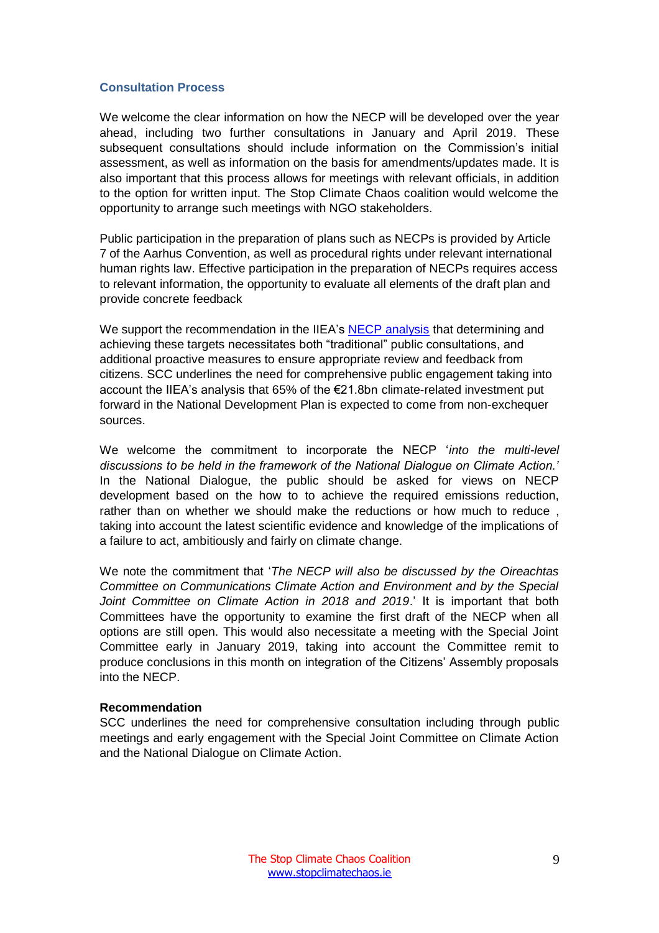#### <span id="page-9-0"></span>**Consultation Process**

We welcome the clear information on how the NECP will be developed over the year ahead, including two further consultations in January and April 2019. These subsequent consultations should include information on the Commission's initial assessment, as well as information on the basis for amendments/updates made. It is also important that this process allows for meetings with relevant officials, in addition to the option for written input. The Stop Climate Chaos coalition would welcome the opportunity to arrange such meetings with NGO stakeholders.

Public participation in the preparation of plans such as NECPs is provided by Article 7 of the Aarhus Convention, as well as procedural rights under relevant international human rights law. Effective participation in the preparation of NECPs requires access to relevant information, the opportunity to evaluate all elements of the draft plan and provide concrete feedback

We support the recommendation in the IIEA's [NECP analysis](https://www.iiea.com/publication/irelands-energy-and-climate-plan-consolidation-cohesion-consultation/) that determining and achieving these targets necessitates both "traditional" public consultations, and additional proactive measures to ensure appropriate review and feedback from citizens. SCC underlines the need for comprehensive public engagement taking into account the IIEA's analysis that 65% of the €21.8bn climate-related investment put forward in the National Development Plan is expected to come from non-exchequer sources.

We welcome the commitment to incorporate the NECP '*into the multi-level discussions to be held in the framework of the National Dialogue on Climate Action.'*  In the National Dialogue, the public should be asked for views on NECP development based on the how to to achieve the required emissions reduction, rather than on whether we should make the reductions or how much to reduce , taking into account the latest scientific evidence and knowledge of the implications of a failure to act, ambitiously and fairly on climate change.

We note the commitment that '*The NECP will also be discussed by the Oireachtas Committee on Communications Climate Action and Environment and by the Special Joint Committee on Climate Action in 2018 and 2019*.' It is important that both Committees have the opportunity to examine the first draft of the NECP when all options are still open. This would also necessitate a meeting with the Special Joint Committee early in January 2019, taking into account the Committee remit to produce conclusions in this month on integration of the Citizens' Assembly proposals into the NECP.

## **Recommendation**

SCC underlines the need for comprehensive consultation including through public meetings and early engagement with the Special Joint Committee on Climate Action and the National Dialogue on Climate Action.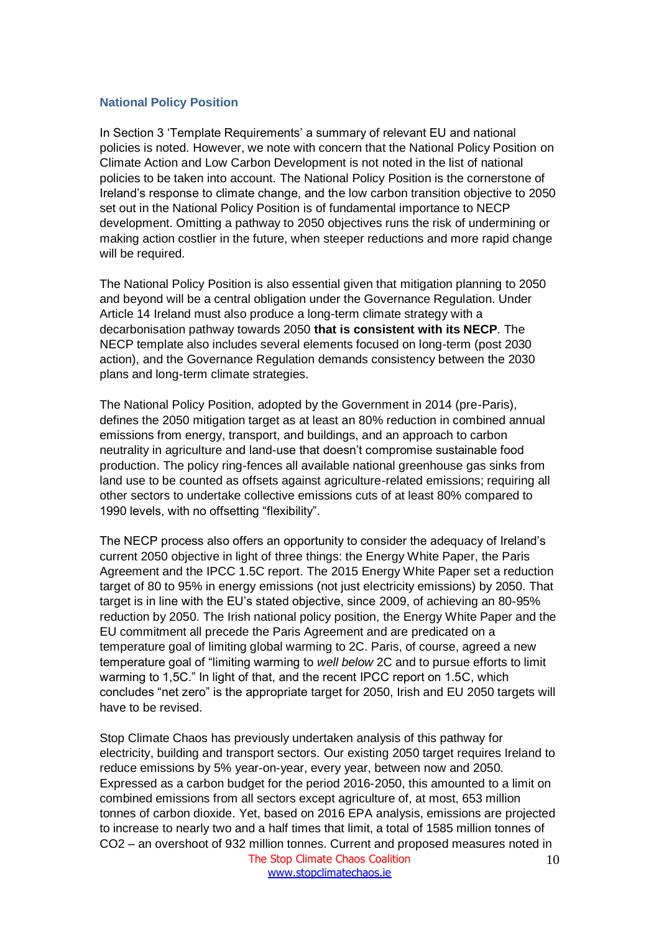#### <span id="page-10-0"></span>**National Policy Position**

In Section 3 'Template Requirements' a summary of relevant EU and national policies is noted. However, we note with concern that the National Policy Position on Climate Action and Low Carbon Development is not noted in the list of national policies to be taken into account. The National Policy Position is the cornerstone of Ireland's response to climate change, and the low carbon transition objective to 2050 set out in the National Policy Position is of fundamental importance to NECP development. Omitting a pathway to 2050 objectives runs the risk of undermining or making action costlier in the future, when steeper reductions and more rapid change will be required.

The National Policy Position is also essential given that mitigation planning to 2050 and beyond will be a central obligation under the Governance Regulation. Under Article 14 Ireland must also produce a long-term climate strategy with a decarbonisation pathway towards 2050 **that is consistent with its NECP**. The NECP template also includes several elements focused on long-term (post 2030 action), and the Governance Regulation demands consistency between the 2030 plans and long-term climate strategies.

The National Policy Position, adopted by the Government in 2014 (pre-Paris), defines the 2050 mitigation target as at least an 80% reduction in combined annual emissions from energy, transport, and buildings, and an approach to carbon neutrality in agriculture and land-use that doesn't compromise sustainable food production. The policy ring-fences all available national greenhouse gas sinks from land use to be counted as offsets against agriculture-related emissions; requiring all other sectors to undertake collective emissions cuts of at least 80% compared to 1990 levels, with no offsetting "flexibility".

The NECP process also offers an opportunity to consider the adequacy of Ireland's current 2050 objective in light of three things: the Energy White Paper, the Paris Agreement and the IPCC 1.5C report. The 2015 Energy White Paper set a reduction target of 80 to 95% in energy emissions (not just electricity emissions) by 2050. That target is in line with the EU's stated objective, since 2009, of achieving an 80-95% reduction by 2050. The Irish national policy position, the Energy White Paper and the EU commitment all precede the Paris Agreement and are predicated on a temperature goal of limiting global warming to 2C. Paris, of course, agreed a new temperature goal of "limiting warming to *well below* 2C and to pursue efforts to limit warming to 1,5C." In light of that, and the recent IPCC report on 1.5C, which concludes "net zero" is the appropriate target for 2050, Irish and EU 2050 targets will have to be revised.

The Stop Climate Chaos Coalition Stop Climate Chaos has previously undertaken analysis of this pathway for electricity, building and transport sectors. Our existing 2050 target requires Ireland to reduce emissions by 5% year-on-year, every year, between now and 2050. Expressed as a carbon budget for the period 2016-2050, this amounted to a limit on combined emissions from all sectors except agriculture of, at most, 653 million tonnes of carbon dioxide. Yet, based on 2016 EPA analysis, emissions are projected to increase to nearly two and a half times that limit, a total of 1585 million tonnes of CO2 – an overshoot of 932 million tonnes. Current and proposed measures noted in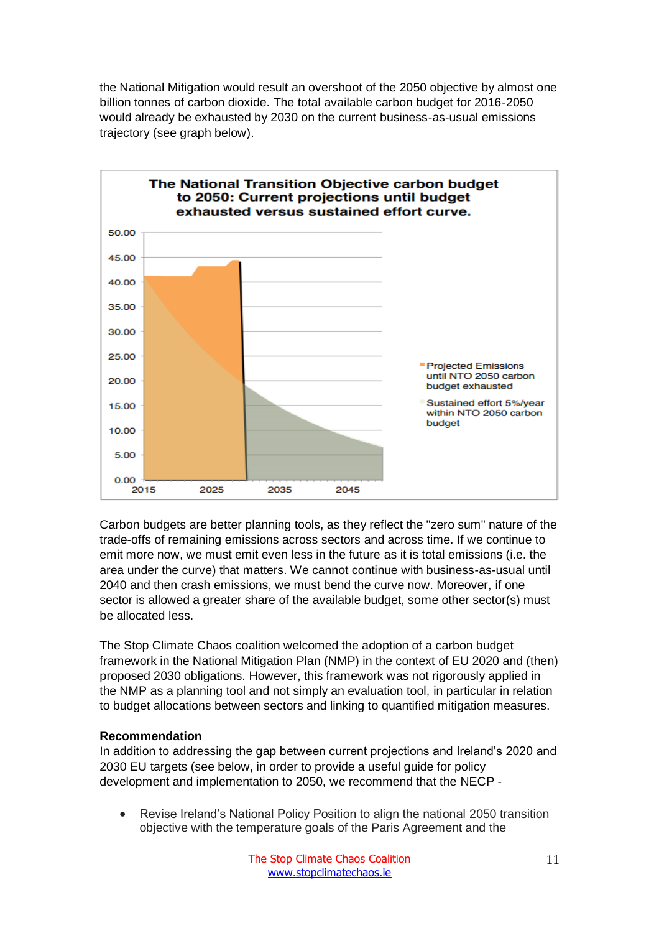the National Mitigation would result an overshoot of the 2050 objective by almost one billion tonnes of carbon dioxide. The total available carbon budget for 2016-2050 would already be exhausted by 2030 on the current business-as-usual emissions trajectory (see graph below).



Carbon budgets are better planning tools, as they reflect the "zero sum" nature of the trade-offs of remaining emissions across sectors and across time. If we continue to emit more now, we must emit even less in the future as it is total emissions (i.e. the area under the curve) that matters. We cannot continue with business-as-usual until 2040 and then crash emissions, we must bend the curve now. Moreover, if one sector is allowed a greater share of the available budget, some other sector(s) must be allocated less.

The Stop Climate Chaos coalition welcomed the adoption of a carbon budget framework in the National Mitigation Plan (NMP) in the context of EU 2020 and (then) proposed 2030 obligations. However, this framework was not rigorously applied in the NMP as a planning tool and not simply an evaluation tool, in particular in relation to budget allocations between sectors and linking to quantified mitigation measures.

## **Recommendation**

In addition to addressing the gap between current projections and Ireland's 2020 and 2030 EU targets (see below, in order to provide a useful guide for policy development and implementation to 2050, we recommend that the NECP -

• Revise Ireland's National Policy Position to align the national 2050 transition objective with the temperature goals of the Paris Agreement and the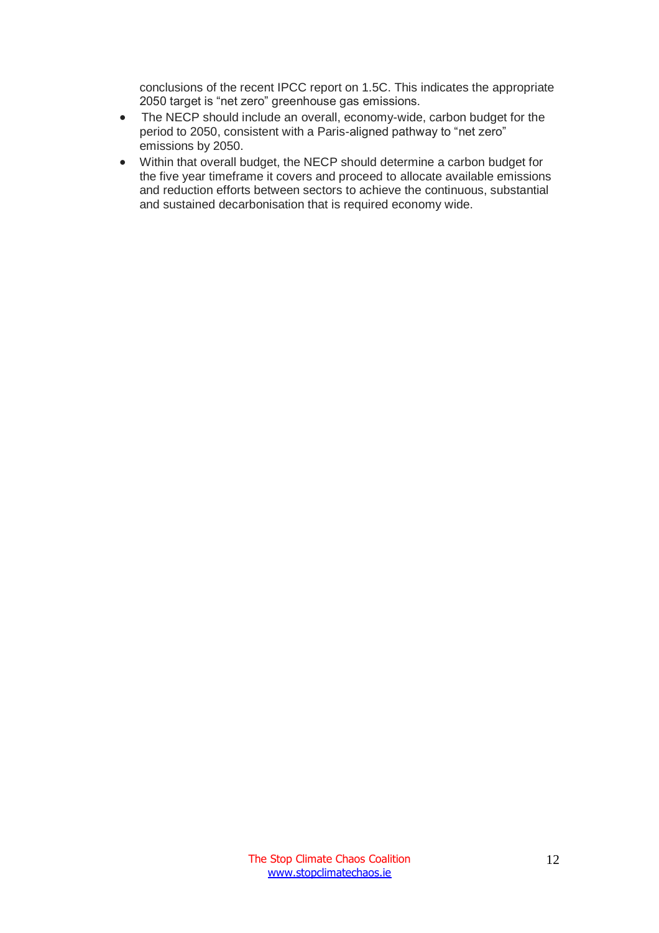conclusions of the recent IPCC report on 1.5C. This indicates the appropriate 2050 target is "net zero" greenhouse gas emissions.

- The NECP should include an overall, economy-wide, carbon budget for the period to 2050, consistent with a Paris-aligned pathway to "net zero" emissions by 2050.
- Within that overall budget, the NECP should determine a carbon budget for the five year timeframe it covers and proceed to allocate available emissions and reduction efforts between sectors to achieve the continuous, substantial and sustained decarbonisation that is required economy wide.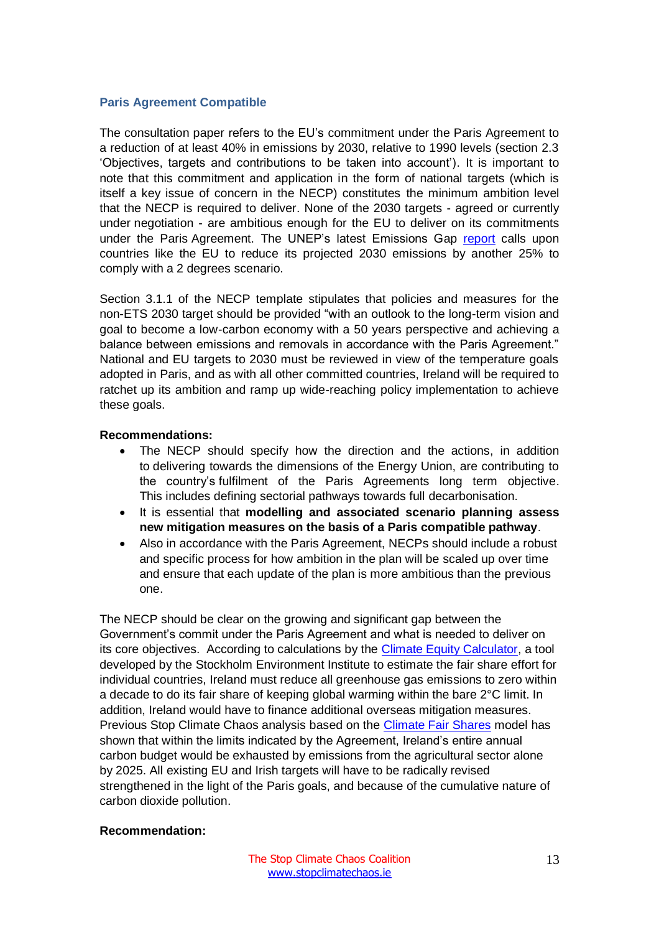#### <span id="page-13-0"></span>**Paris Agreement Compatible**

The consultation paper refers to the EU's commitment under the Paris Agreement to a reduction of at least 40% in emissions by 2030, relative to 1990 levels (section 2.3 'Objectives, targets and contributions to be taken into account'). It is important to note that this commitment and application in the form of national targets (which is itself a key issue of concern in the NECP) constitutes the minimum ambition level that the NECP is required to deliver. None of the 2030 targets - agreed or currently under negotiation - are ambitious enough for the EU to deliver on its commitments under the Paris Agreement. The UNEP's latest Emissions Gap [report](https://www.unenvironment.org/resources/emissions-gap-report) calls upon countries like the EU to reduce its projected 2030 emissions by another 25% to comply with a 2 degrees scenario.

Section 3.1.1 of the NECP template stipulates that policies and measures for the non-ETS 2030 target should be provided "with an outlook to the long-term vision and goal to become a low-carbon economy with a 50 years perspective and achieving a balance between emissions and removals in accordance with the Paris Agreement." National and EU targets to 2030 must be reviewed in view of the temperature goals adopted in Paris, and as with all other committed countries, Ireland will be required to ratchet up its ambition and ramp up wide-reaching policy implementation to achieve these goals.

## **Recommendations:**

- The NECP should specify how the direction and the actions, in addition to delivering towards the dimensions of the Energy Union, are contributing to the country's fulfilment of the Paris Agreements long term objective. This includes defining sectorial pathways towards full decarbonisation.
- It is essential that **modelling and associated scenario planning assess new mitigation measures on the basis of a Paris compatible pathway**.
- Also in accordance with the Paris Agreement, NECPs should include a robust and specific process for how ambition in the plan will be scaled up over time and ensure that each update of the plan is more ambitious than the previous one.

The NECP should be clear on the growing and significant gap between the Government's commit under the Paris Agreement and what is needed to deliver on its core objectives. According to calculations by the [Climate Equity Calculator,](https://calculator.climateequityreference.org/) a tool developed by the Stockholm Environment Institute to estimate the fair share effort for individual countries, Ireland must reduce all greenhouse gas emissions to zero within a decade to do its fair share of keeping global warming within the bare 2°C limit. In addition, Ireland would have to finance additional overseas mitigation measures. Previous Stop Climate Chaos analysis based on the [Climate Fair Shares](http://www.climatefairshares.org/) model has shown that within the limits indicated by the Agreement, Ireland's entire annual carbon budget would be exhausted by emissions from the agricultural sector alone by 2025. All existing EU and Irish targets will have to be radically revised strengthened in the light of the Paris goals, and because of the cumulative nature of carbon dioxide pollution.

## **Recommendation:**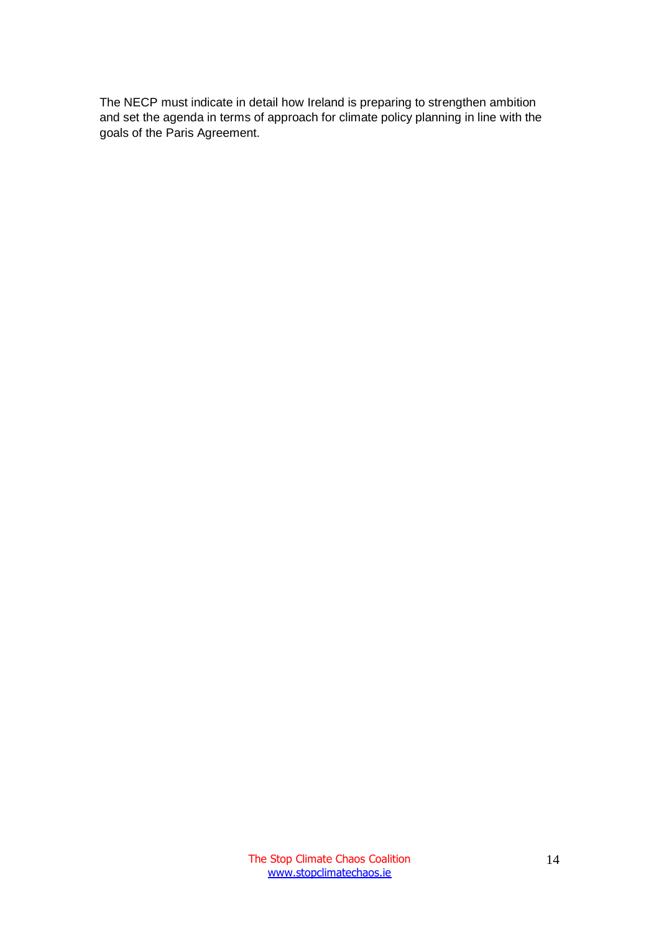The NECP must indicate in detail how Ireland is preparing to strengthen ambition and set the agenda in terms of approach for climate policy planning in line with the goals of the Paris Agreement.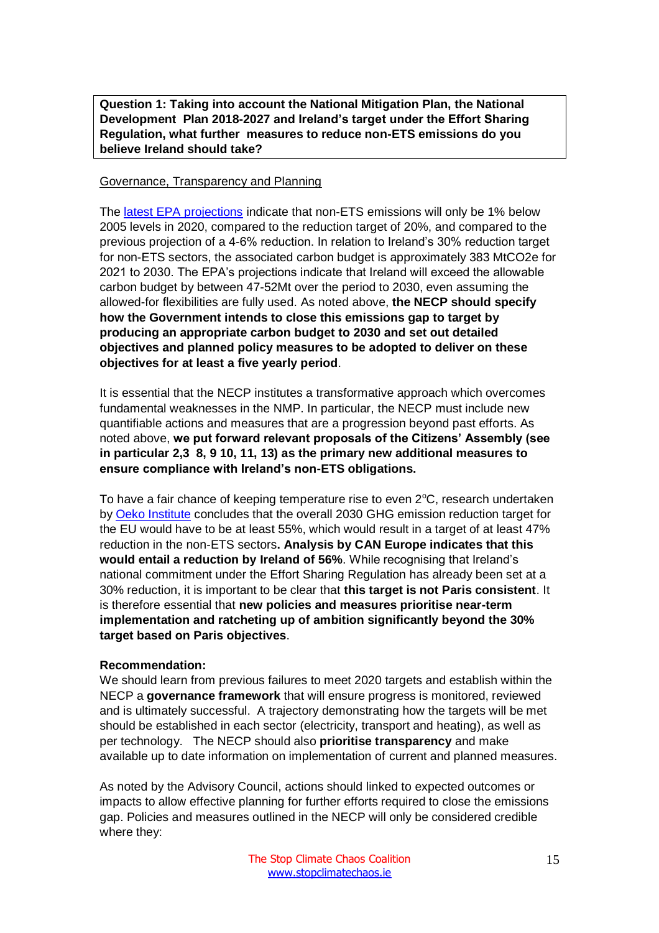<span id="page-15-0"></span>**Question 1: Taking into account the National Mitigation Plan, the National Development Plan 2018-2027 and Ireland's target under the Effort Sharing Regulation, what further measures to reduce non-ETS emissions do you believe Ireland should take?**

#### Governance, Transparency and Planning

The [latest EPA projections](http://www.epa.ie/newsandevents/news/pressreleases2018/name,64049,en.html) indicate that non-ETS emissions will only be 1% below 2005 levels in 2020, compared to the reduction target of 20%, and compared to the previous projection of a 4-6% reduction. In relation to Ireland's 30% reduction target for non-ETS sectors, the associated carbon budget is approximately 383 MtCO2e for 2021 to 2030. The EPA's projections indicate that Ireland will exceed the allowable carbon budget by between 47-52Mt over the period to 2030, even assuming the allowed-for flexibilities are fully used. As noted above, **the NECP should specify how the Government intends to close this emissions gap to target by producing an appropriate carbon budget to 2030 and set out detailed objectives and planned policy measures to be adopted to deliver on these objectives for at least a five yearly period**.

It is essential that the NECP institutes a transformative approach which overcomes fundamental weaknesses in the NMP. In particular, the NECP must include new quantifiable actions and measures that are a progression beyond past efforts. As noted above, **we put forward relevant proposals of the Citizens' Assembly (see in particular 2,3 8, 9 10, 11, 13) as the primary new additional measures to ensure compliance with Ireland's non-ETS obligations.**

To have a fair chance of keeping temperature rise to even  $2^{\circ}C$ , research undertaken by [Oeko Institute](https://www.oeko.de/fileadmin/oekodoc/Vision_Scenario__EU-28-Report_2017.pdf) concludes that the overall 2030 GHG emission reduction target for the EU would have to be at least 55%, which would result in a target of at least 47% reduction in the non-ETS sectors**. Analysis by CAN Europe indicates that this would entail a reduction by Ireland of 56%**. While recognising that Ireland's national commitment under the Effort Sharing Regulation has already been set at a 30% reduction, it is important to be clear that **this target is not Paris consistent**. It is therefore essential that **new policies and measures prioritise near-term implementation and ratcheting up of ambition significantly beyond the 30% target based on Paris objectives**.

## **Recommendation:**

We should learn from previous failures to meet 2020 targets and establish within the NECP a **governance framework** that will ensure progress is monitored, reviewed and is ultimately successful. A trajectory demonstrating how the targets will be met should be established in each sector (electricity, transport and heating), as well as per technology. The NECP should also **prioritise transparency** and make available up to date information on implementation of current and planned measures.

As noted by the Advisory Council, actions should linked to expected outcomes or impacts to allow effective planning for further efforts required to close the emissions gap. Policies and measures outlined in the NECP will only be considered credible where they: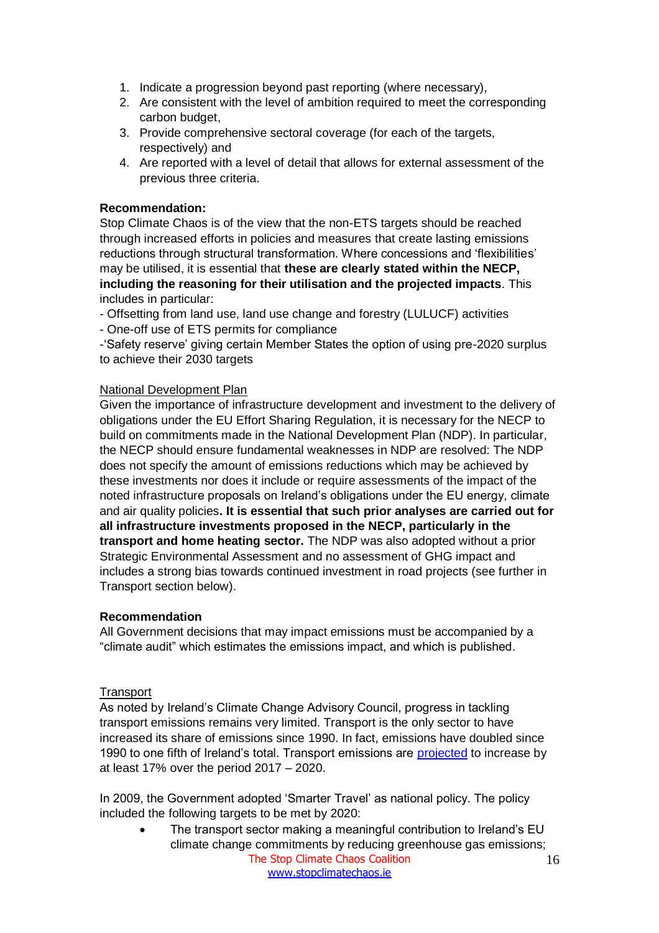- 1. Indicate a progression beyond past reporting (where necessary),
- 2. Are consistent with the level of ambition required to meet the corresponding carbon budget,
- 3. Provide comprehensive sectoral coverage (for each of the targets, respectively) and
- 4. Are reported with a level of detail that allows for external assessment of the previous three criteria.

# **Recommendation:**

Stop Climate Chaos is of the view that the non-ETS targets should be reached through increased efforts in policies and measures that create lasting emissions reductions through structural transformation. Where concessions and 'flexibilities' may be utilised, it is essential that **these are clearly stated within the NECP, including the reasoning for their utilisation and the projected impacts**. This includes in particular:

- Offsetting from land use, land use change and forestry (LULUCF) activities
- One-off use of ETS permits for compliance

-'Safety reserve' giving certain Member States the option of using pre-2020 surplus to achieve their 2030 targets

## National Development Plan

Given the importance of infrastructure development and investment to the delivery of obligations under the EU Effort Sharing Regulation, it is necessary for the NECP to build on commitments made in the National Development Plan (NDP). In particular, the NECP should ensure fundamental weaknesses in NDP are resolved: The NDP does not specify the amount of emissions reductions which may be achieved by these investments nor does it include or require assessments of the impact of the noted infrastructure proposals on Ireland's obligations under the EU energy, climate and air quality policies**. It is essential that such prior analyses are carried out for all infrastructure investments proposed in the NECP, particularly in the transport and home heating sector.** The NDP was also adopted without a prior Strategic Environmental Assessment and no assessment of GHG impact and includes a strong bias towards continued investment in road projects (see further in Transport section below).

## **Recommendation**

All Government decisions that may impact emissions must be accompanied by a "climate audit" which estimates the emissions impact, and which is published.

## **Transport**

As noted by Ireland's Climate Change Advisory Council, progress in tackling transport emissions remains very limited. Transport is the only sector to have increased its share of emissions since 1990. In fact, emissions have doubled since 1990 to one fifth of Ireland's total. Transport emissions are [projected](http://www.epa.ie/pubs/reports/air/airemissions/ghgprojections2017-2035/EPA_2018_GHG_Emissions_Projections_Summary_Report.pdf) to increase by at least 17% over the period 2017 – 2020.

In 2009, the Government adopted 'Smarter Travel' as national policy. The policy included the following targets to be met by 2020:

The Stop Climate Chaos Coalition [www.stopclimatechaos.ie](file:///C:/Users/FoE%20Activism/Dropbox%20(FoE%20Ireland)/Friends%20of%20the%20Earth/Stop%20Climate%20Chaos/Letters/www.stopclimatechaos.ie) 16 • The transport sector making a meaningful contribution to Ireland's EU climate change commitments by reducing greenhouse gas emissions;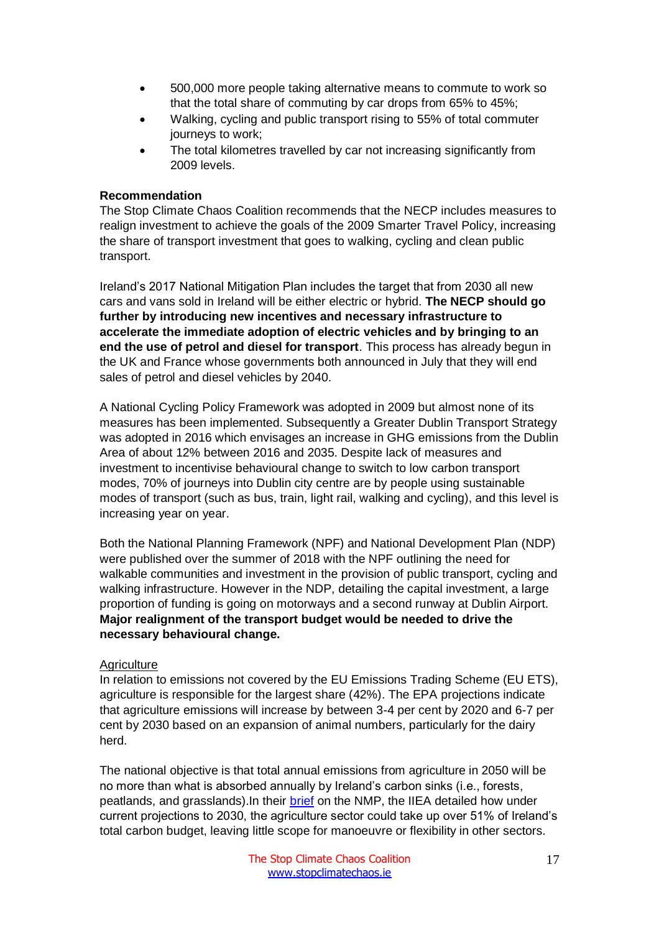- 500,000 more people taking alternative means to commute to work so that the total share of commuting by car drops from 65% to 45%;
- Walking, cycling and public transport rising to 55% of total commuter journeys to work;
- The total kilometres travelled by car not increasing significantly from 2009 levels.

## **Recommendation**

The Stop Climate Chaos Coalition recommends that the NECP includes measures to realign investment to achieve the goals of the 2009 Smarter Travel Policy, increasing the share of transport investment that goes to walking, cycling and clean public transport.

Ireland's 2017 National Mitigation Plan includes the target that from 2030 all new cars and vans sold in Ireland will be either electric or hybrid. **The NECP should go further by introducing new incentives and necessary infrastructure to accelerate the immediate adoption of electric vehicles and by bringing to an end the use of petrol and diesel for transport**. This process has already begun in the UK and France whose governments both announced in July that they will end sales of petrol and diesel vehicles by 2040.

A National Cycling Policy Framework was adopted in 2009 but almost none of its measures has been implemented. Subsequently a Greater Dublin Transport Strategy was adopted in 2016 which envisages an increase in GHG emissions from the Dublin Area of about 12% between 2016 and 2035. Despite lack of measures and investment to incentivise behavioural change to switch to low carbon transport modes, 70% of journeys into Dublin city centre are by people using sustainable modes of transport (such as bus, train, light rail, walking and cycling), and this level is increasing year on year.

Both the National Planning Framework (NPF) and National Development Plan (NDP) were published over the summer of 2018 with the NPF outlining the need for walkable communities and investment in the provision of public transport, cycling and walking infrastructure. However in the NDP, detailing the capital investment, a large proportion of funding is going on motorways and a second runway at Dublin Airport. **Major realignment of the transport budget would be needed to drive the necessary behavioural change.**

#### **Agriculture**

In relation to emissions not covered by the EU Emissions Trading Scheme (EU ETS), agriculture is responsible for the largest share (42%). The EPA projections indicate that agriculture emissions will increase by between 3-4 per cent by 2020 and 6-7 per cent by 2030 based on an expansion of animal numbers, particularly for the dairy herd.

The national objective is that total annual emissions from agriculture in 2050 will be no more than what is absorbed annually by Ireland's carbon sinks (i.e., forests, peatlands, and grasslands). In their [brief](http://www.iiea.com/ftp/Publications/2017/IIEA_National%20Mitigaton%20Plan%20Assessment%20Report_2017.pdf) on the NMP, the IIEA detailed how under current projections to 2030, the agriculture sector could take up over 51% of Ireland's total carbon budget, leaving little scope for manoeuvre or flexibility in other sectors.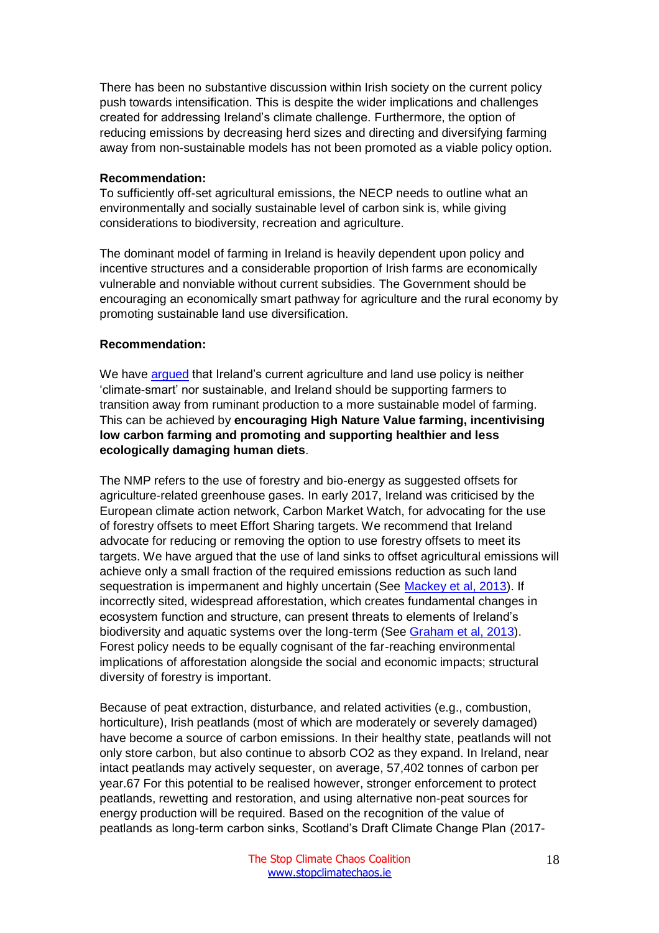There has been no substantive discussion within Irish society on the current policy push towards intensification. This is despite the wider implications and challenges created for addressing Ireland's climate challenge. Furthermore, the option of reducing emissions by decreasing herd sizes and directing and diversifying farming away from non-sustainable models has not been promoted as a viable policy option.

#### **Recommendation:**

To sufficiently off-set agricultural emissions, the NECP needs to outline what an environmentally and socially sustainable level of carbon sink is, while giving considerations to biodiversity, recreation and agriculture.

The dominant model of farming in Ireland is heavily dependent upon policy and incentive structures and a considerable proportion of Irish farms are economically vulnerable and nonviable without current subsidies. The Government should be encouraging an economically smart pathway for agriculture and the rural economy by promoting sustainable land use diversification.

## **Recommendation:**

We have [argued](http://www.stopclimatechaos.ie/download/pdf/not_so_green.pdf) that Ireland's current agriculture and land use policy is neither 'climate-smart' nor sustainable, and Ireland should be supporting farmers to transition away from ruminant production to a more sustainable model of farming. This can be achieved by **encouraging High Nature Value farming, incentivising low carbon farming and promoting and supporting healthier and less ecologically damaging human diets**.

The NMP refers to the use of forestry and bio-energy as suggested offsets for agriculture-related greenhouse gases. In early 2017, Ireland was criticised by the European climate action network, Carbon Market Watch, for advocating for the use of forestry offsets to meet Effort Sharing targets. We recommend that Ireland advocate for reducing or removing the option to use forestry offsets to meet its targets. We have argued that the use of land sinks to offset agricultural emissions will achieve only a small fraction of the required emissions reduction as such land sequestration is impermanent and highly uncertain (See [Mackey et al, 2013\)](https://serca.org.au/research/2013/Mackey_etal.pdf). If incorrectly sited, widespread afforestation, which creates fundamental changes in ecosystem function and structure, can present threats to elements of Ireland's biodiversity and aquatic systems over the long-term (See [Graham et al, 2013\)](https://www.ucc.ie/en/media/research/planforbio/pdfs/09-Grahametal2013.pdf). Forest policy needs to be equally cognisant of the far-reaching environmental implications of afforestation alongside the social and economic impacts; structural diversity of forestry is important.

Because of peat extraction, disturbance, and related activities (e.g., combustion, horticulture), Irish peatlands (most of which are moderately or severely damaged) have become a source of carbon emissions. In their healthy state, peatlands will not only store carbon, but also continue to absorb CO2 as they expand. In Ireland, near intact peatlands may actively sequester, on average, 57,402 tonnes of carbon per year.67 For this potential to be realised however, stronger enforcement to protect peatlands, rewetting and restoration, and using alternative non-peat sources for energy production will be required. Based on the recognition of the value of peatlands as long-term carbon sinks, Scotland's Draft Climate Change Plan (2017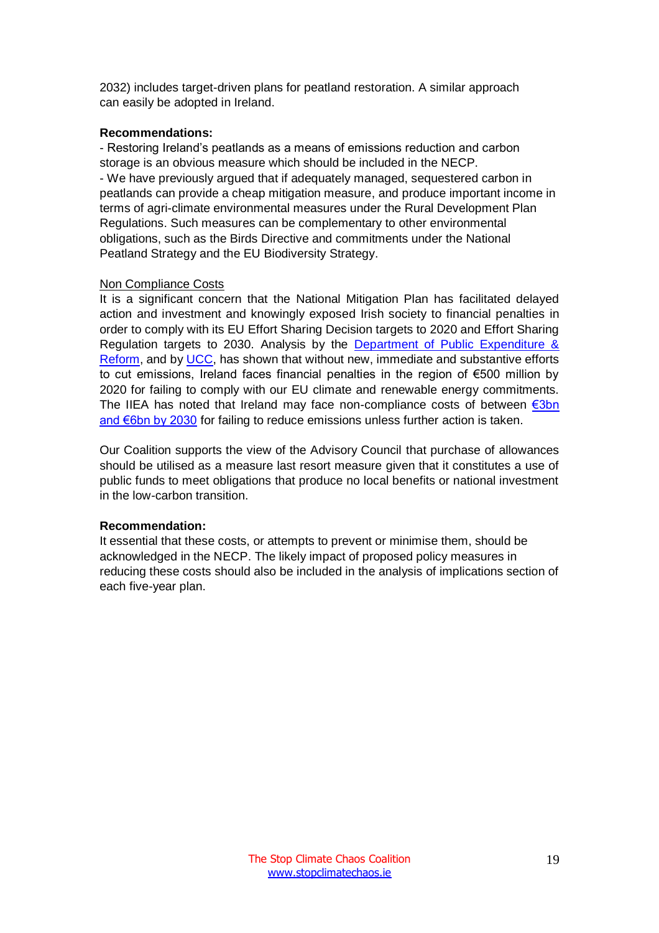2032) includes target-driven plans for peatland restoration. A similar approach can easily be adopted in Ireland.

#### **Recommendations:**

- Restoring Ireland's peatlands as a means of emissions reduction and carbon storage is an obvious measure which should be included in the NECP. - We have previously argued that if adequately managed, sequestered carbon in peatlands can provide a cheap mitigation measure, and produce important income in terms of agri-climate environmental measures under the Rural Development Plan Regulations. Such measures can be complementary to other environmental obligations, such as the Birds Directive and commitments under the National Peatland Strategy and the EU Biodiversity Strategy.

## Non Compliance Costs

It is a significant concern that the National Mitigation Plan has facilitated delayed action and investment and knowingly exposed Irish society to financial penalties in order to comply with its EU Effort Sharing Decision targets to 2020 and Effort Sharing Regulation targets to 2030. Analysis by the [Department of Public Expenditure &](https://igees.gov.ie/wp-content/uploads/2013/10/Future-Expenditure-Risks-associated-with-Climate-Change-Climate-Finance1.pdf)  [Reform,](https://igees.gov.ie/wp-content/uploads/2013/10/Future-Expenditure-Risks-associated-with-Climate-Change-Climate-Finance1.pdf) and by [UCC,](https://www.irishtimes.com/business/economy/ireland-s-bill-for-missing-climate-targets-set-to-fall-1.3303229) has shown that without new, immediate and substantive efforts to cut emissions, Ireland faces financial penalties in the region of €500 million by 2020 for failing to comply with our EU climate and renewable energy commitments. The IIEA has noted that Ireland may face non-compliance costs of between  $\epsilon$ 3bn [and €6bn by 2030](https://www.iiea.com/climate-and-sustainability/how-much-of-irelands-fiscal-space-will-climate-inaction-consume/) for failing to reduce emissions unless further action is taken.

Our Coalition supports the view of the Advisory Council that purchase of allowances should be utilised as a measure last resort measure given that it constitutes a use of public funds to meet obligations that produce no local benefits or national investment in the low-carbon transition.

## **Recommendation:**

It essential that these costs, or attempts to prevent or minimise them, should be acknowledged in the NECP. The likely impact of proposed policy measures in reducing these costs should also be included in the analysis of implications section of each five-year plan.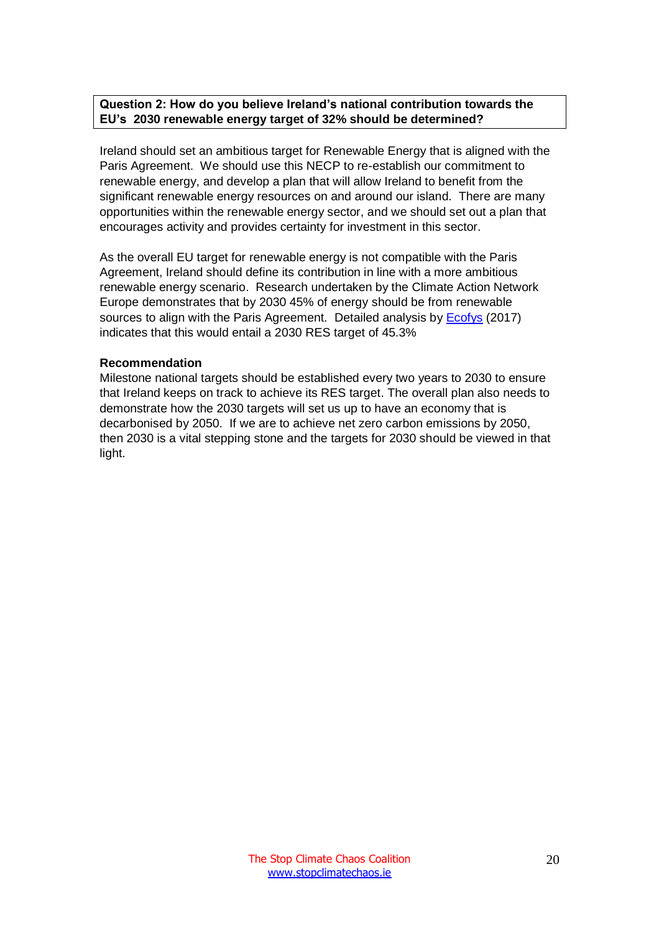# <span id="page-20-0"></span>**Question 2: How do you believe Ireland's national contribution towards the EU's 2030 renewable energy target of 32% should be determined?**

Ireland should set an ambitious target for Renewable Energy that is aligned with the Paris Agreement. We should use this NECP to re-establish our commitment to renewable energy, and develop a plan that will allow Ireland to benefit from the significant renewable energy resources on and around our island. There are many opportunities within the renewable energy sector, and we should set out a plan that encourages activity and provides certainty for investment in this sector.

As the overall EU target for renewable energy is not compatible with the Paris Agreement, Ireland should define its contribution in line with a more ambitious renewable energy scenario. Research undertaken by the Climate Action Network Europe demonstrates that by 2030 45% of energy should be from renewable sources to align with the Paris Agreement. Detailed analysis by [Ecofys](https://www.ecofys.com/en/publications/national-benchmarks-for-a-more-ambitious-eu-2030-res-target/) (2017) indicates that this would entail a 2030 RES target of 45.3%

#### **Recommendation**

Milestone national targets should be established every two years to 2030 to ensure that Ireland keeps on track to achieve its RES target. The overall plan also needs to demonstrate how the 2030 targets will set us up to have an economy that is decarbonised by 2050. If we are to achieve net zero carbon emissions by 2050, then 2030 is a vital stepping stone and the targets for 2030 should be viewed in that light.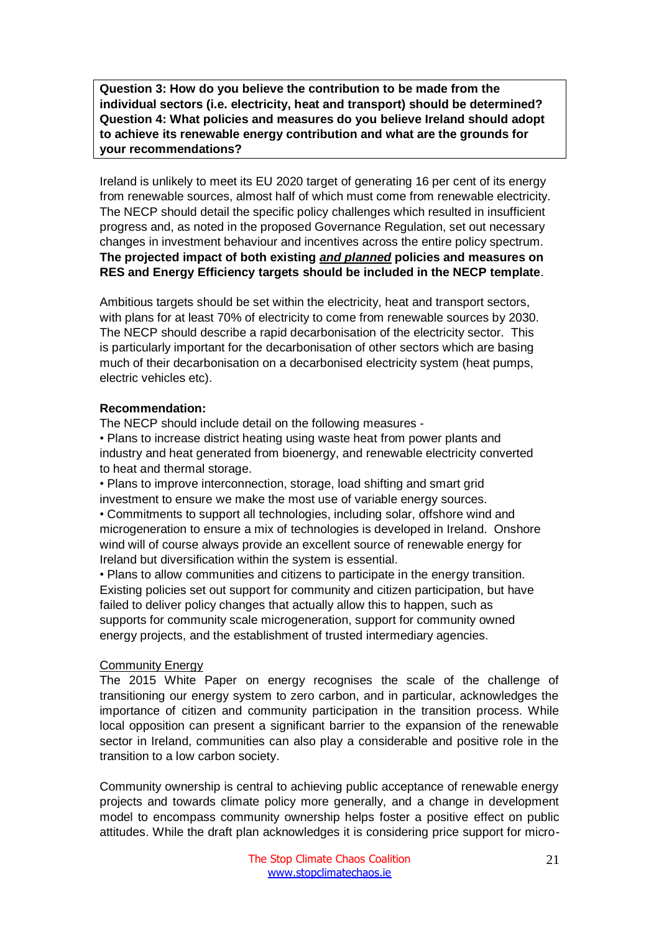<span id="page-21-1"></span><span id="page-21-0"></span>**Question 3: How do you believe the contribution to be made from the individual sectors (i.e. electricity, heat and transport) should be determined? Question 4: What policies and measures do you believe Ireland should adopt to achieve its renewable energy contribution and what are the grounds for your recommendations?**

Ireland is unlikely to meet its EU 2020 target of generating 16 per cent of its energy from renewable sources, almost half of which must come from renewable electricity. The NECP should detail the specific policy challenges which resulted in insufficient progress and, as noted in the proposed Governance Regulation, set out necessary changes in investment behaviour and incentives across the entire policy spectrum. **The projected impact of both existing** *and planned* **policies and measures on RES and Energy Efficiency targets should be included in the NECP template**.

Ambitious targets should be set within the electricity, heat and transport sectors, with plans for at least 70% of electricity to come from renewable sources by 2030. The NECP should describe a rapid decarbonisation of the electricity sector. This is particularly important for the decarbonisation of other sectors which are basing much of their decarbonisation on a decarbonised electricity system (heat pumps, electric vehicles etc).

#### **Recommendation:**

The NECP should include detail on the following measures -

• Plans to increase district heating using waste heat from power plants and industry and heat generated from bioenergy, and renewable electricity converted to heat and thermal storage.

• Plans to improve interconnection, storage, load shifting and smart grid investment to ensure we make the most use of variable energy sources.

• Commitments to support all technologies, including solar, offshore wind and microgeneration to ensure a mix of technologies is developed in Ireland. Onshore wind will of course always provide an excellent source of renewable energy for Ireland but diversification within the system is essential.

• Plans to allow communities and citizens to participate in the energy transition. Existing policies set out support for community and citizen participation, but have failed to deliver policy changes that actually allow this to happen, such as supports for community scale microgeneration, support for community owned energy projects, and the establishment of trusted intermediary agencies.

# **Community Energy**

The 2015 White Paper on energy recognises the scale of the challenge of transitioning our energy system to zero carbon, and in particular, acknowledges the importance of citizen and community participation in the transition process. While local opposition can present a significant barrier to the expansion of the renewable sector in Ireland, communities can also play a considerable and positive role in the transition to a low carbon society.

Community ownership is central to achieving public acceptance of renewable energy projects and towards climate policy more generally, and a change in development model to encompass community ownership helps foster a positive effect on public attitudes. While the draft plan acknowledges it is considering price support for micro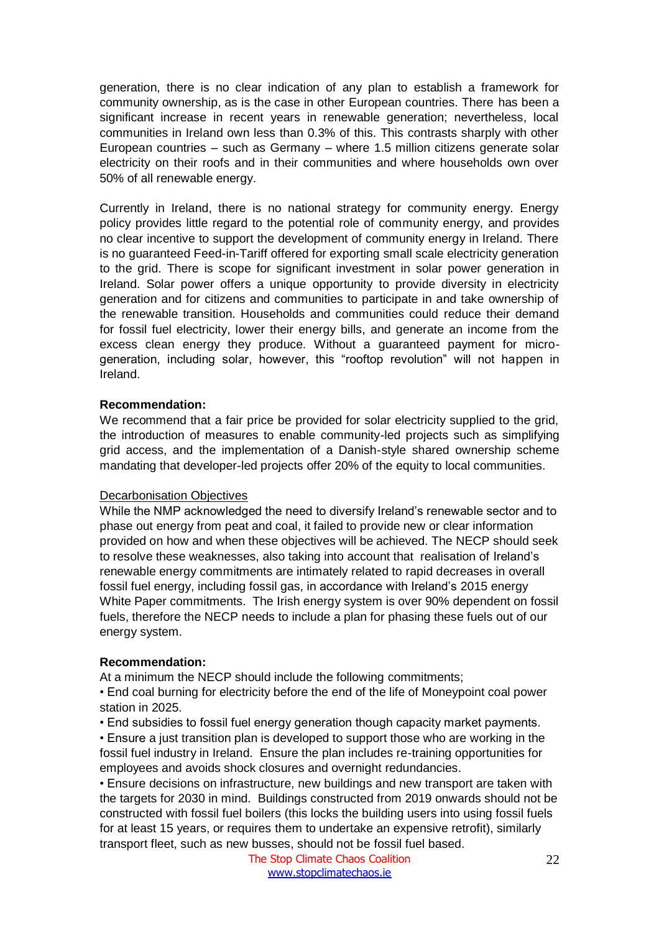generation, there is no clear indication of any plan to establish a framework for community ownership, as is the case in other European countries. There has been a significant increase in recent years in renewable generation; nevertheless, local communities in Ireland own less than 0.3% of this. This contrasts sharply with other European countries – such as Germany – where 1.5 million citizens generate solar electricity on their roofs and in their communities and where households own over 50% of all renewable energy.

Currently in Ireland, there is no national strategy for community energy. Energy policy provides little regard to the potential role of community energy, and provides no clear incentive to support the development of community energy in Ireland. There is no guaranteed Feed-in-Tariff offered for exporting small scale electricity generation to the grid. There is scope for significant investment in solar power generation in Ireland. Solar power offers a unique opportunity to provide diversity in electricity generation and for citizens and communities to participate in and take ownership of the renewable transition. Households and communities could reduce their demand for fossil fuel electricity, lower their energy bills, and generate an income from the excess clean energy they produce. Without a guaranteed payment for microgeneration, including solar, however, this "rooftop revolution" will not happen in Ireland.

## **Recommendation:**

We recommend that a fair price be provided for solar electricity supplied to the grid, the introduction of measures to enable community-led projects such as simplifying grid access, and the implementation of a Danish-style shared ownership scheme mandating that developer-led projects offer 20% of the equity to local communities.

#### Decarbonisation Objectives

While the NMP acknowledged the need to diversify Ireland's renewable sector and to phase out energy from peat and coal, it failed to provide new or clear information provided on how and when these objectives will be achieved. The NECP should seek to resolve these weaknesses, also taking into account that realisation of Ireland's renewable energy commitments are intimately related to rapid decreases in overall fossil fuel energy, including fossil gas, in accordance with Ireland's 2015 energy White Paper commitments. The Irish energy system is over 90% dependent on fossil fuels, therefore the NECP needs to include a plan for phasing these fuels out of our energy system.

#### **Recommendation:**

At a minimum the NECP should include the following commitments;

• End coal burning for electricity before the end of the life of Moneypoint coal power station in 2025.

• End subsidies to fossil fuel energy generation though capacity market payments.

• Ensure a just transition plan is developed to support those who are working in the fossil fuel industry in Ireland. Ensure the plan includes re-training opportunities for employees and avoids shock closures and overnight redundancies.

• Ensure decisions on infrastructure, new buildings and new transport are taken with the targets for 2030 in mind. Buildings constructed from 2019 onwards should not be constructed with fossil fuel boilers (this locks the building users into using fossil fuels for at least 15 years, or requires them to undertake an expensive retrofit), similarly transport fleet, such as new busses, should not be fossil fuel based.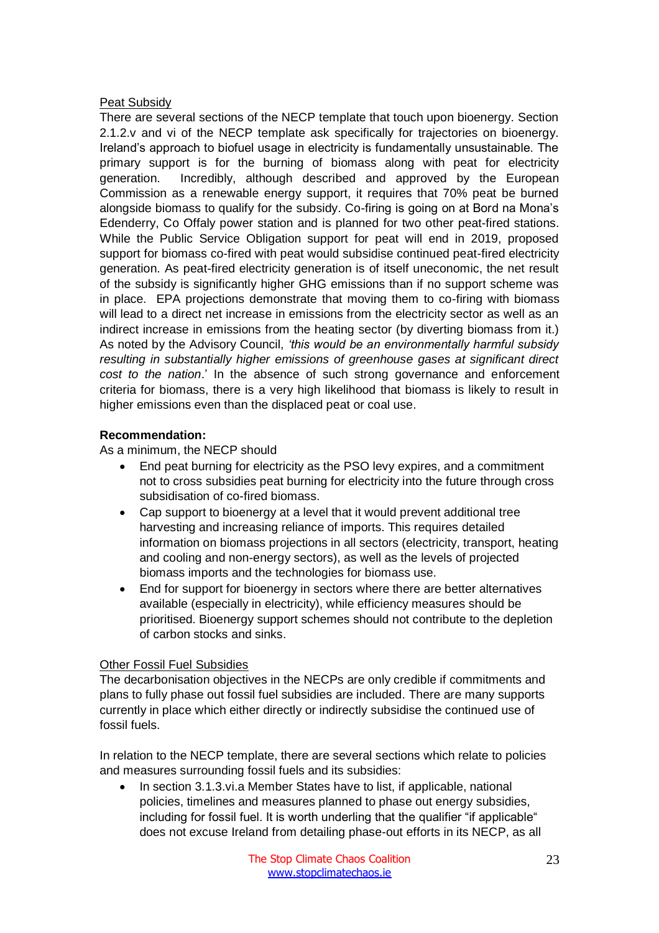## Peat Subsidy

There are several sections of the NECP template that touch upon bioenergy. Section 2.1.2.v and vi of the NECP template ask specifically for trajectories on bioenergy. Ireland's approach to biofuel usage in electricity is fundamentally unsustainable. The primary support is for the burning of biomass along with peat for electricity generation. Incredibly, although described and approved by the European Commission as a renewable energy support, it requires that 70% peat be burned alongside biomass to qualify for the subsidy. Co-firing is going on at Bord na Mona's Edenderry, Co Offaly power station and is planned for two other peat-fired stations. While the Public Service Obligation support for peat will end in 2019, proposed support for biomass co-fired with peat would subsidise continued peat-fired electricity generation. As peat-fired electricity generation is of itself uneconomic, the net result of the subsidy is significantly higher GHG emissions than if no support scheme was in place. EPA projections demonstrate that moving them to co-firing with biomass will lead to a direct net increase in emissions from the electricity sector as well as an indirect increase in emissions from the heating sector (by diverting biomass from it.) As noted by the Advisory Council, *'this would be an environmentally harmful subsidy resulting in substantially higher emissions of greenhouse gases at significant direct cost to the nation*.' In the absence of such strong governance and enforcement criteria for biomass, there is a very high likelihood that biomass is likely to result in higher emissions even than the displaced peat or coal use.

#### **Recommendation:**

As a minimum, the NECP should

- End peat burning for electricity as the PSO levy expires, and a commitment not to cross subsidies peat burning for electricity into the future through cross subsidisation of co-fired biomass.
- Cap support to bioenergy at a level that it would prevent additional tree harvesting and increasing reliance of imports. This requires detailed information on biomass projections in all sectors (electricity, transport, heating and cooling and non-energy sectors), as well as the levels of projected biomass imports and the technologies for biomass use.
- End for support for bioenergy in sectors where there are better alternatives available (especially in electricity), while efficiency measures should be prioritised. Bioenergy support schemes should not contribute to the depletion of carbon stocks and sinks.

# Other Fossil Fuel Subsidies

The decarbonisation objectives in the NECPs are only credible if commitments and plans to fully phase out fossil fuel subsidies are included. There are many supports currently in place which either directly or indirectly subsidise the continued use of fossil fuels.

In relation to the NECP template, there are several sections which relate to policies and measures surrounding fossil fuels and its subsidies:

• In section 3.1.3.vi.a Member States have to list, if applicable, national policies, timelines and measures planned to phase out energy subsidies, including for fossil fuel. It is worth underling that the qualifier "if applicable" does not excuse Ireland from detailing phase-out efforts in its NECP, as all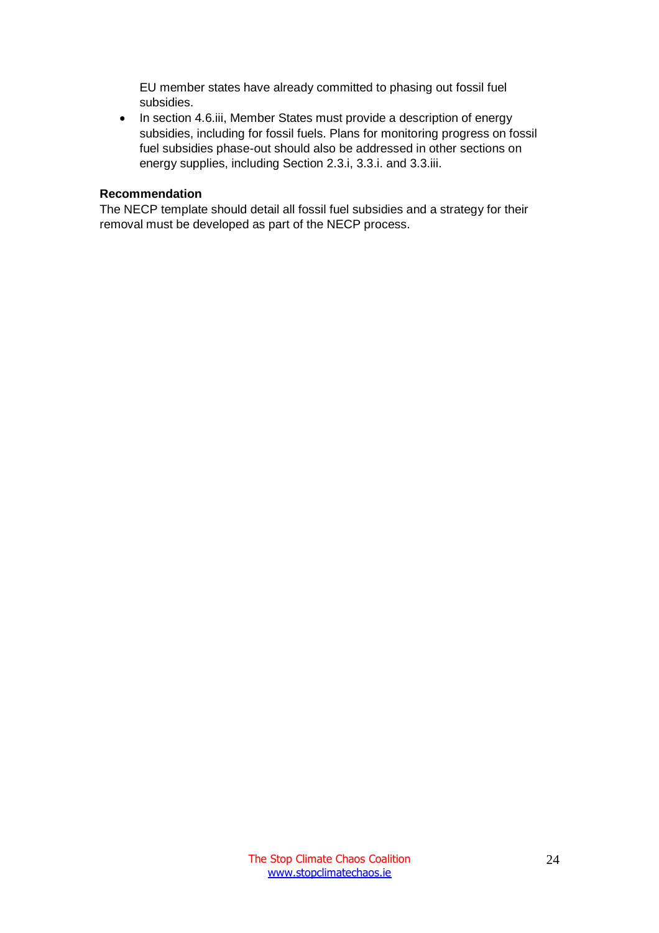EU member states have already committed to phasing out fossil fuel subsidies.

• In section 4.6.iii, Member States must provide a description of energy subsidies, including for fossil fuels. Plans for monitoring progress on fossil fuel subsidies phase-out should also be addressed in other sections on energy supplies, including Section 2.3.i, 3.3.i. and 3.3.iii.

# **Recommendation**

The NECP template should detail all fossil fuel subsidies and a strategy for their removal must be developed as part of the NECP process.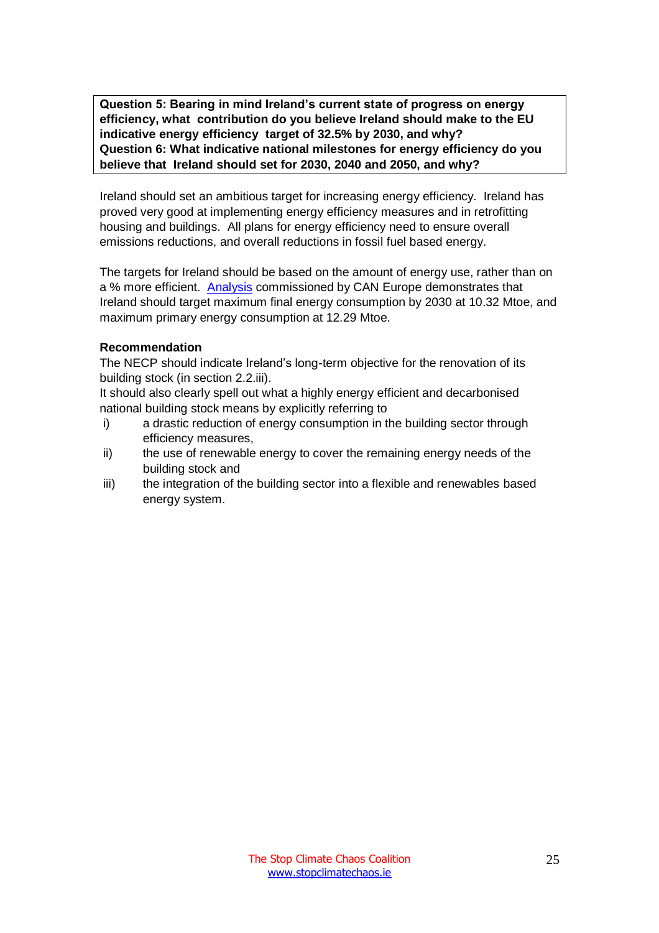<span id="page-25-1"></span><span id="page-25-0"></span>**Question 5: Bearing in mind Ireland's current state of progress on energy efficiency, what contribution do you believe Ireland should make to the EU indicative energy efficiency target of 32.5% by 2030, and why? Question 6: What indicative national milestones for energy efficiency do you believe that Ireland should set for 2030, 2040 and 2050, and why?**

Ireland should set an ambitious target for increasing energy efficiency. Ireland has proved very good at implementing energy efficiency measures and in retrofitting housing and buildings. All plans for energy efficiency need to ensure overall emissions reductions, and overall reductions in fossil fuel based energy.

The targets for Ireland should be based on the amount of energy use, rather than on a % more efficient. [Analysis](http://www.stefanscheuer.eu/) commissioned by CAN Europe demonstrates that Ireland should target maximum final energy consumption by 2030 at 10.32 Mtoe, and maximum primary energy consumption at 12.29 Mtoe.

## **Recommendation**

The NECP should indicate Ireland's long-term objective for the renovation of its building stock (in section 2.2.iii).

It should also clearly spell out what a highly energy efficient and decarbonised national building stock means by explicitly referring to

- i) a drastic reduction of energy consumption in the building sector through efficiency measures,
- ii) the use of renewable energy to cover the remaining energy needs of the building stock and
- iii) the integration of the building sector into a flexible and renewables based energy system.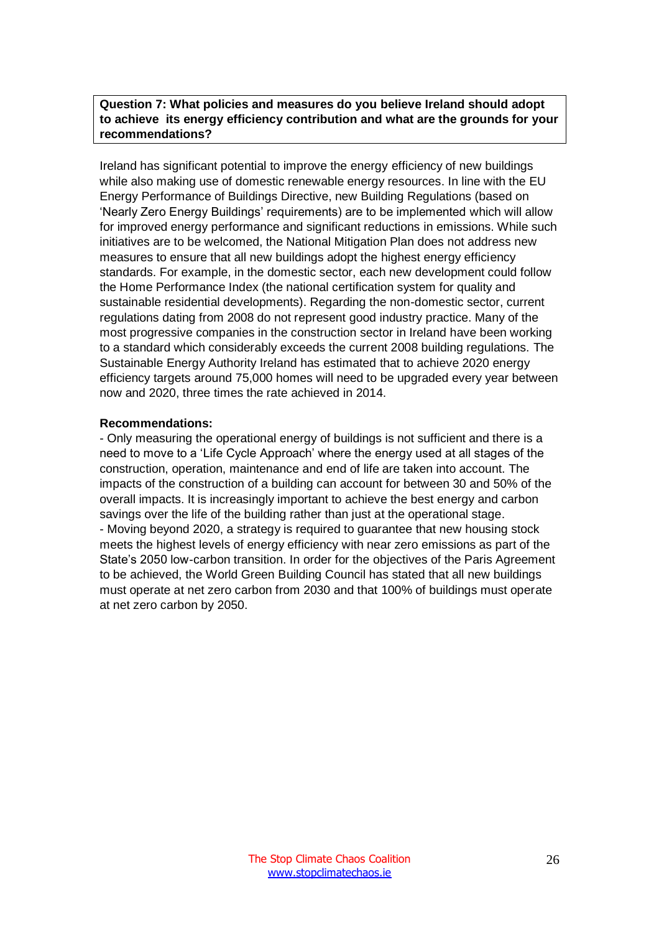<span id="page-26-0"></span>**Question 7: What policies and measures do you believe Ireland should adopt to achieve its energy efficiency contribution and what are the grounds for your recommendations?**

Ireland has significant potential to improve the energy efficiency of new buildings while also making use of domestic renewable energy resources. In line with the EU Energy Performance of Buildings Directive, new Building Regulations (based on 'Nearly Zero Energy Buildings' requirements) are to be implemented which will allow for improved energy performance and significant reductions in emissions. While such initiatives are to be welcomed, the National Mitigation Plan does not address new measures to ensure that all new buildings adopt the highest energy efficiency standards. For example, in the domestic sector, each new development could follow the Home Performance Index (the national certification system for quality and sustainable residential developments). Regarding the non-domestic sector, current regulations dating from 2008 do not represent good industry practice. Many of the most progressive companies in the construction sector in Ireland have been working to a standard which considerably exceeds the current 2008 building regulations. The Sustainable Energy Authority Ireland has estimated that to achieve 2020 energy efficiency targets around 75,000 homes will need to be upgraded every year between now and 2020, three times the rate achieved in 2014.

#### **Recommendations:**

- Only measuring the operational energy of buildings is not sufficient and there is a need to move to a 'Life Cycle Approach' where the energy used at all stages of the construction, operation, maintenance and end of life are taken into account. The impacts of the construction of a building can account for between 30 and 50% of the overall impacts. It is increasingly important to achieve the best energy and carbon savings over the life of the building rather than just at the operational stage. - Moving beyond 2020, a strategy is required to guarantee that new housing stock meets the highest levels of energy efficiency with near zero emissions as part of the State's 2050 low-carbon transition. In order for the objectives of the Paris Agreement to be achieved, the World Green Building Council has stated that all new buildings must operate at net zero carbon from 2030 and that 100% of buildings must operate at net zero carbon by 2050.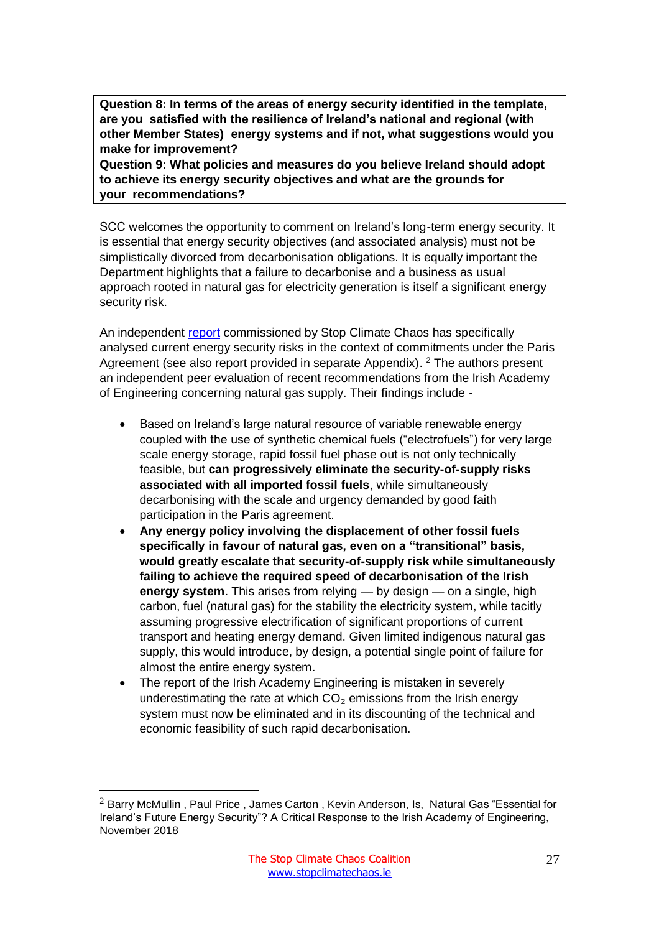<span id="page-27-0"></span>**Question 8: In terms of the areas of energy security identified in the template, are you satisfied with the resilience of Ireland's national and regional (with other Member States) energy systems and if not, what suggestions would you make for improvement?**

<span id="page-27-1"></span>**Question 9: What policies and measures do you believe Ireland should adopt to achieve its energy security objectives and what are the grounds for your recommendations?**

SCC welcomes the opportunity to comment on Ireland's long-term energy security. It is essential that energy security objectives (and associated analysis) must not be simplistically divorced from decarbonisation obligations. It is equally important the Department highlights that a failure to decarbonise and a business as usual approach rooted in natural gas for electricity generation is itself a significant energy security risk.

An independent [report](https://www.stopclimatechaos.ie/download/pdf/is_natural_gas_essential_for_irelands_future_energy_security_scc_study_november_2018.pdf) commissioned by Stop Climate Chaos has specifically analysed current energy security risks in the context of commitments under the Paris Agreement (see also report provided in separate Appendix). <sup>2</sup> The authors present an independent peer evaluation of recent recommendations from the Irish Academy of Engineering concerning natural gas supply. Their findings include -

- Based on Ireland's large natural resource of variable renewable energy coupled with the use of synthetic chemical fuels ("electrofuels") for very large scale energy storage, rapid fossil fuel phase out is not only technically feasible, but **can progressively eliminate the security-of-supply risks associated with all imported fossil fuels**, while simultaneously decarbonising with the scale and urgency demanded by good faith participation in the Paris agreement.
- **Any energy policy involving the displacement of other fossil fuels specifically in favour of natural gas, even on a "transitional" basis, would greatly escalate that security-of-supply risk while simultaneously failing to achieve the required speed of decarbonisation of the Irish energy system**. This arises from relying — by design — on a single, high carbon, fuel (natural gas) for the stability the electricity system, while tacitly assuming progressive electrification of significant proportions of current transport and heating energy demand. Given limited indigenous natural gas supply, this would introduce, by design, a potential single point of failure for almost the entire energy system.
- The report of the Irish Academy Engineering is mistaken in severely underestimating the rate at which  $CO<sub>2</sub>$  emissions from the Irish energy system must now be eliminated and in its discounting of the technical and economic feasibility of such rapid decarbonisation.

 $\overline{a}$ 

 $2$  Barry McMullin, Paul Price, James Carton, Kevin Anderson, Is, Natural Gas "Essential for Ireland's Future Energy Security"? A Critical Response to the Irish Academy of Engineering, November 2018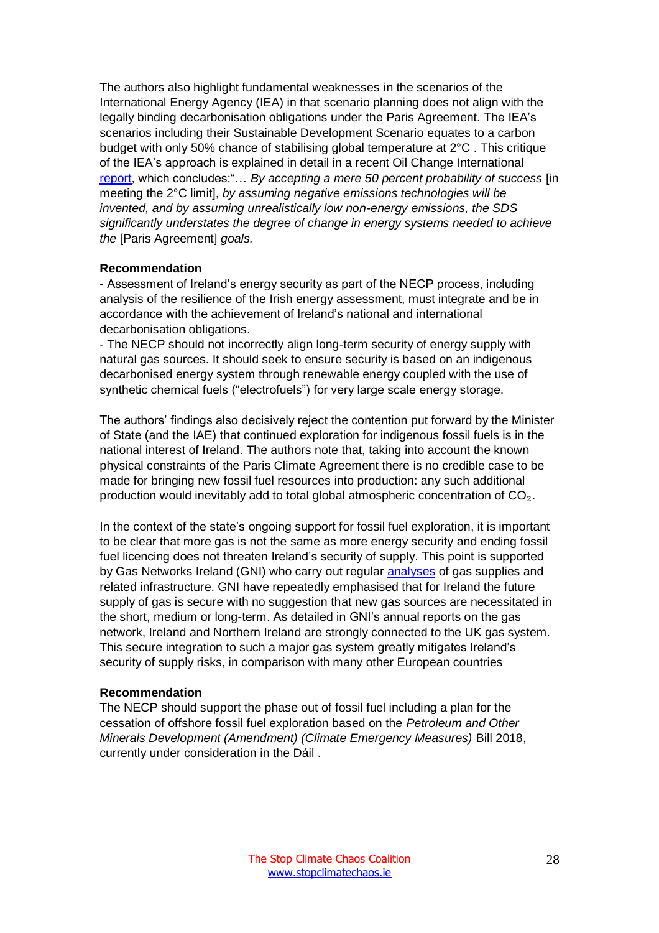The authors also highlight fundamental weaknesses in the scenarios of the International Energy Agency (IEA) in that scenario planning does not align with the legally binding decarbonisation obligations under the Paris Agreement. The IEA's scenarios including their Sustainable Development Scenario equates to a carbon budget with only 50% chance of stabilising global temperature at 2°C . This critique of the IEA's approach is explained in detail in a recent Oil Change International [report,](http://priceofoil.org/content/uploads/2018/04/Off-Track-IEA-climate-change.pdf) which concludes:"… *By accepting a mere 50 percent probability of success* [in meeting the 2°C limit], *by assuming negative emissions technologies will be invented, and by assuming unrealistically low non-energy emissions, the SDS significantly understates the degree of change in energy systems needed to achieve the* [Paris Agreement] *goals.*

#### **Recommendation**

- Assessment of Ireland's energy security as part of the NECP process, including analysis of the resilience of the Irish energy assessment, must integrate and be in accordance with the achievement of Ireland's national and international decarbonisation obligations.

- The NECP should not incorrectly align long-term security of energy supply with natural gas sources. It should seek to ensure security is based on an indigenous decarbonised energy system through renewable energy coupled with the use of synthetic chemical fuels ("electrofuels") for very large scale energy storage.

The authors' findings also decisively reject the contention put forward by the Minister of State (and the IAE) that continued exploration for indigenous fossil fuels is in the national interest of Ireland. The authors note that, taking into account the known physical constraints of the Paris Climate Agreement there is no credible case to be made for bringing new fossil fuel resources into production: any such additional production would inevitably add to total global atmospheric concentration of CO₂.

In the context of the state's ongoing support for fossil fuel exploration, it is important to be clear that more gas is not the same as more energy security and ending fossil fuel licencing does not threaten Ireland's security of supply. This point is supported by Gas Networks Ireland (GNI) who carry out regular [analyses](https://www.cru.ie/wp-content/uploads/2017/12/CRU17341-GNI-NDP-2017.pdf) of gas supplies and related infrastructure. GNI have repeatedly emphasised that for Ireland the future supply of gas is secure with no suggestion that new gas sources are necessitated in the short, medium or long-term. As detailed in GNI's annual reports on the gas network, Ireland and Northern Ireland are strongly connected to the UK gas system. This secure integration to such a major gas system greatly mitigates Ireland's security of supply risks, in comparison with many other European countries

#### **Recommendation**

The NECP should support the phase out of fossil fuel including a plan for the cessation of offshore fossil fuel exploration based on the *Petroleum and Other Minerals Development (Amendment) (Climate Emergency Measures)* Bill 2018, currently under consideration in the Dáil .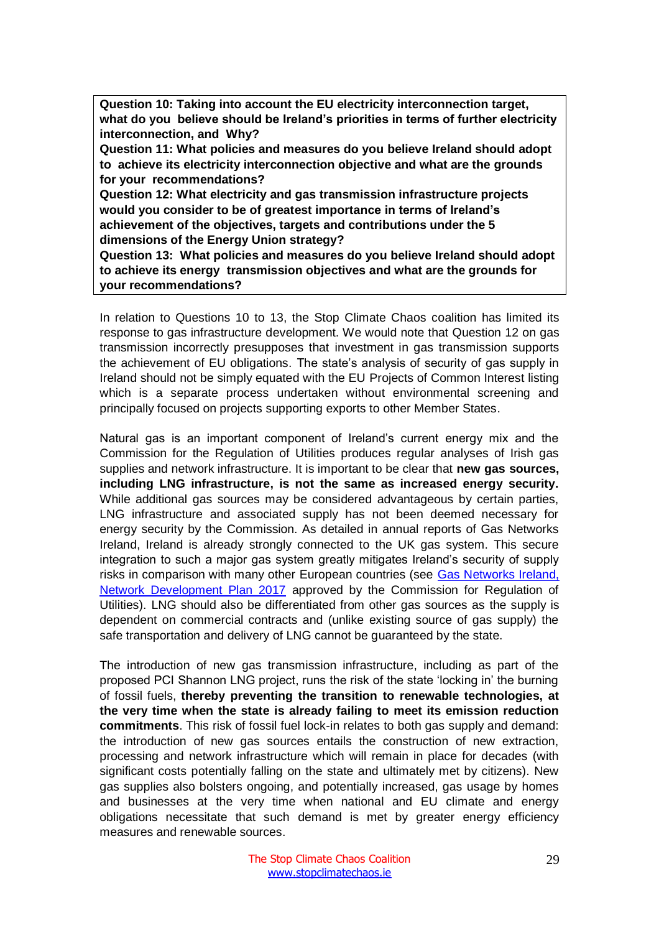<span id="page-29-0"></span>**Question 10: Taking into account the EU electricity interconnection target, what do you believe should be Ireland's priorities in terms of further electricity interconnection, and Why?**

<span id="page-29-1"></span>**Question 11: What policies and measures do you believe Ireland should adopt to achieve its electricity interconnection objective and what are the grounds for your recommendations?**

<span id="page-29-2"></span>**Question 12: What electricity and gas transmission infrastructure projects would you consider to be of greatest importance in terms of Ireland's achievement of the objectives, targets and contributions under the 5 dimensions of the Energy Union strategy?**

<span id="page-29-3"></span>**Question 13: What policies and measures do you believe Ireland should adopt to achieve its energy transmission objectives and what are the grounds for your recommendations?**

In relation to Questions 10 to 13, the Stop Climate Chaos coalition has limited its response to gas infrastructure development. We would note that Question 12 on gas transmission incorrectly presupposes that investment in gas transmission supports the achievement of EU obligations. The state's analysis of security of gas supply in Ireland should not be simply equated with the EU Projects of Common Interest listing which is a separate process undertaken without environmental screening and principally focused on projects supporting exports to other Member States.

Natural gas is an important component of Ireland's current energy mix and the Commission for the Regulation of Utilities produces regular analyses of Irish gas supplies and network infrastructure. It is important to be clear that **new gas sources, including LNG infrastructure, is not the same as increased energy security.** While additional gas sources may be considered advantageous by certain parties, LNG infrastructure and associated supply has not been deemed necessary for energy security by the Commission. As detailed in annual reports of Gas Networks Ireland, Ireland is already strongly connected to the UK gas system. This secure integration to such a major gas system greatly mitigates Ireland's security of supply risks in comparison with many other European countries (see [Gas Networks Ireland,](https://www.gasnetworks.ie/corporate/gas-regulation/system-operator/publications/GNI-Network-Development-Plan-2017.pdf)  [Network Development Plan 2017](https://www.gasnetworks.ie/corporate/gas-regulation/system-operator/publications/GNI-Network-Development-Plan-2017.pdf) approved by the Commission for Regulation of Utilities). LNG should also be differentiated from other gas sources as the supply is dependent on commercial contracts and (unlike existing source of gas supply) the safe transportation and delivery of LNG cannot be guaranteed by the state.

The introduction of new gas transmission infrastructure, including as part of the proposed PCI Shannon LNG project, runs the risk of the state 'locking in' the burning of fossil fuels, **thereby preventing the transition to renewable technologies, at the very time when the state is already failing to meet its emission reduction commitments**. This risk of fossil fuel lock-in relates to both gas supply and demand: the introduction of new gas sources entails the construction of new extraction, processing and network infrastructure which will remain in place for decades (with significant costs potentially falling on the state and ultimately met by citizens). New gas supplies also bolsters ongoing, and potentially increased, gas usage by homes and businesses at the very time when national and EU climate and energy obligations necessitate that such demand is met by greater energy efficiency measures and renewable sources.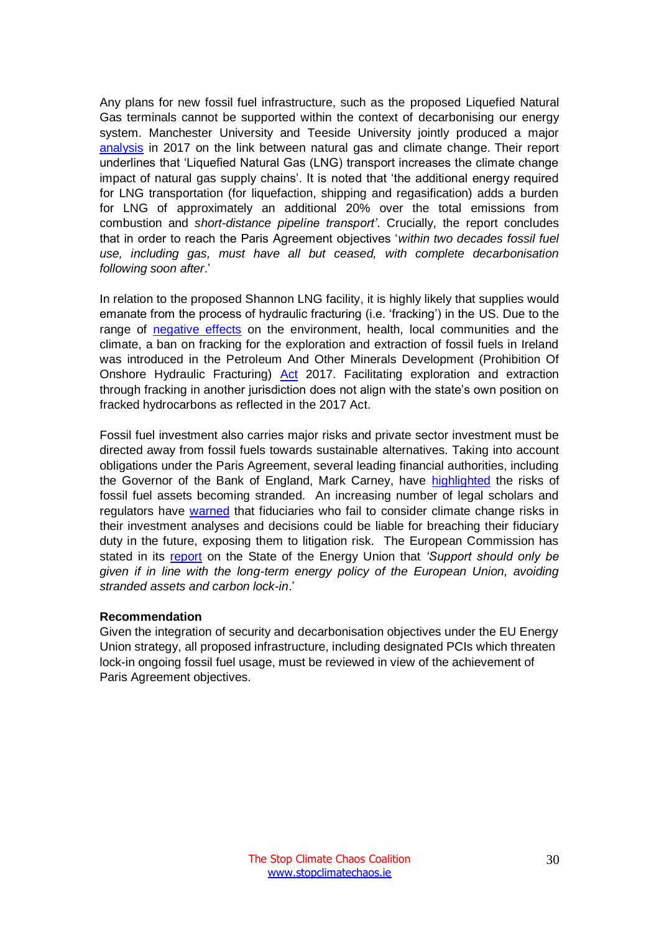Any plans for new fossil fuel infrastructure, such as the proposed Liquefied Natural Gas terminals cannot be supported within the context of decarbonising our energy system. Manchester University and Teeside University jointly produced a major [analysis](http://www.foeeurope.org/sites/default/files/extractive_industries/2017/natural_gas_and_climate_change_anderson_broderick_october2017.pdf) in 2017 on the link between natural gas and climate change. Their report underlines that 'Liquefied Natural Gas (LNG) transport increases the climate change impact of natural gas supply chains'. It is noted that 'the additional energy required for LNG transportation (for liquefaction, shipping and regasification) adds a burden for LNG of approximately an additional 20% over the total emissions from combustion and *short-distance pipeline transport'*. Crucially, the report concludes that in order to reach the Paris Agreement objectives '*within two decades fossil fuel use, including gas, must have all but ceased, with complete decarbonisation following soon after*.'

In relation to the proposed Shannon LNG facility, it is highly likely that supplies would emanate from the process of hydraulic fracturing (i.e. 'fracking') in the US. Due to the range of [negative effects](https://www.foe.ie/download/pdf/foee_shale_gas_joint_position_april_2012.pdf) on the environment, health, local communities and the climate, a ban on fracking for the exploration and extraction of fossil fuels in Ireland was introduced in the Petroleum And Other Minerals Development (Prohibition Of Onshore Hydraulic Fracturing) [Act](http://www.irishstatutebook.ie/eli/2017/act/15/enacted/en/html) 2017. Facilitating exploration and extraction through fracking in another jurisdiction does not align with the state's own position on fracked hydrocarbons as reflected in the 2017 Act.

Fossil fuel investment also carries major risks and private sector investment must be directed away from fossil fuels towards sustainable alternatives. Taking into account obligations under the Paris Agreement, several leading financial authorities, including the Governor of the Bank of England, Mark Carney, have [highlighted](https://www.carbontracker.org/bank-of-england-warns-stranded-assets-pose-threat-to-financial-stability/) the risks of fossil fuel assets becoming stranded. An increasing number of legal scholars and regulators have [warned](http://priceofoil.org/content/uploads/2016/09/OCI_the_skys_limit_2016_FINAL_2.pdf) that fiduciaries who fail to consider climate change risks in their investment analyses and decisions could be liable for breaching their fiduciary duty in the future, exposing them to litigation risk. The European Commission has stated in its [report](https://ec.europa.eu/commission/second-report-state-energy-union_en) on the State of the Energy Union that *'Support should only be given if in line with the long-term energy policy of the European Union, avoiding stranded assets and carbon lock-in*.'

## **Recommendation**

Given the integration of security and decarbonisation objectives under the EU Energy Union strategy, all proposed infrastructure, including designated PCIs which threaten lock-in ongoing fossil fuel usage, must be reviewed in view of the achievement of Paris Agreement objectives.